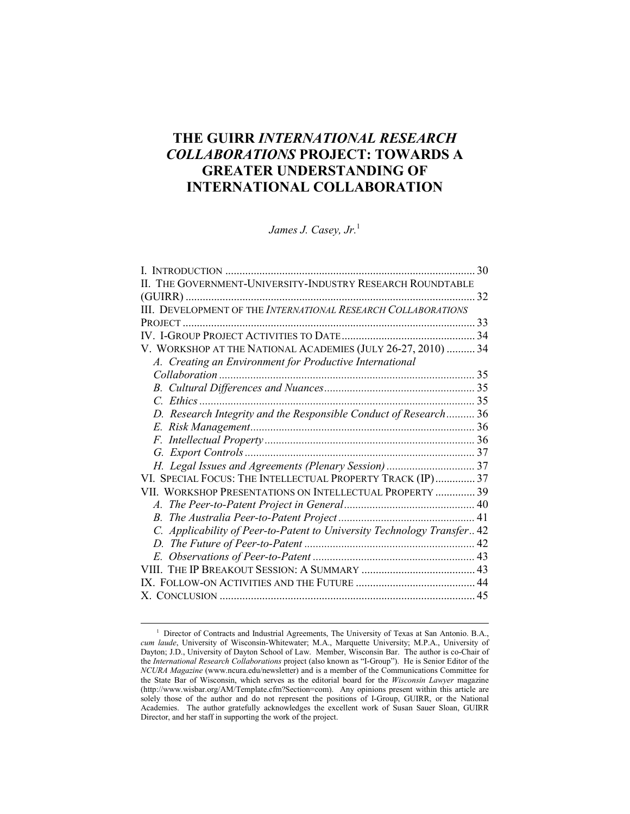# **THE GUIRR** *INTERNATIONAL RESEARCH COLLABORATIONS* **PROJECT: TOWARDS A GREATER UNDERSTANDING OF INTERNATIONAL COLLABORATION**

*James J. Casey, Jr.*<sup>1</sup>

|                                                                         | 30 |
|-------------------------------------------------------------------------|----|
| THE GOVERNMENT-UNIVERSITY-INDUSTRY RESEARCH ROUNDTABLE                  |    |
|                                                                         | 32 |
| III. DEVELOPMENT OF THE INTERNATIONAL RESEARCH COLLABORATIONS           |    |
|                                                                         | 33 |
|                                                                         |    |
| V. WORKSHOP AT THE NATIONAL ACADEMIES (JULY 26-27, 2010)  34            |    |
| A. Creating an Environment for Productive International                 |    |
|                                                                         |    |
|                                                                         |    |
|                                                                         |    |
| D. Research Integrity and the Responsible Conduct of Research 36        |    |
|                                                                         |    |
|                                                                         |    |
|                                                                         |    |
|                                                                         |    |
| VI. SPECIAL FOCUS: THE INTELLECTUAL PROPERTY TRACK (IP) 37              |    |
| VII. WORKSHOP PRESENTATIONS ON INTELLECTUAL PROPERTY  39                |    |
|                                                                         |    |
|                                                                         |    |
| C. Applicability of Peer-to-Patent to University Technology Transfer 42 |    |
|                                                                         |    |
|                                                                         |    |
|                                                                         |    |
|                                                                         |    |
|                                                                         |    |

 $\frac{1}{1}$ <sup>1</sup> Director of Contracts and Industrial Agreements, The University of Texas at San Antonio. B.A., *cum laude*, University of Wisconsin-Whitewater; M.A., Marquette University; M.P.A., University of Dayton; J.D., University of Dayton School of Law. Member, Wisconsin Bar. The author is co-Chair of the *International Research Collaborations* project (also known as "I-Group"). He is Senior Editor of the *NCURA Magazine* (www.ncura.edu/newsletter) and is a member of the Communications Committee for the State Bar of Wisconsin, which serves as the editorial board for the *Wisconsin Lawyer* magazine (http://www.wisbar.org/AM/Template.cfm?Section=com). Any opinions present within this article are solely those of the author and do not represent the positions of I-Group, GUIRR, or the National Academies. The author gratefully acknowledges the excellent work of Susan Sauer Sloan, GUIRR Director, and her staff in supporting the work of the project.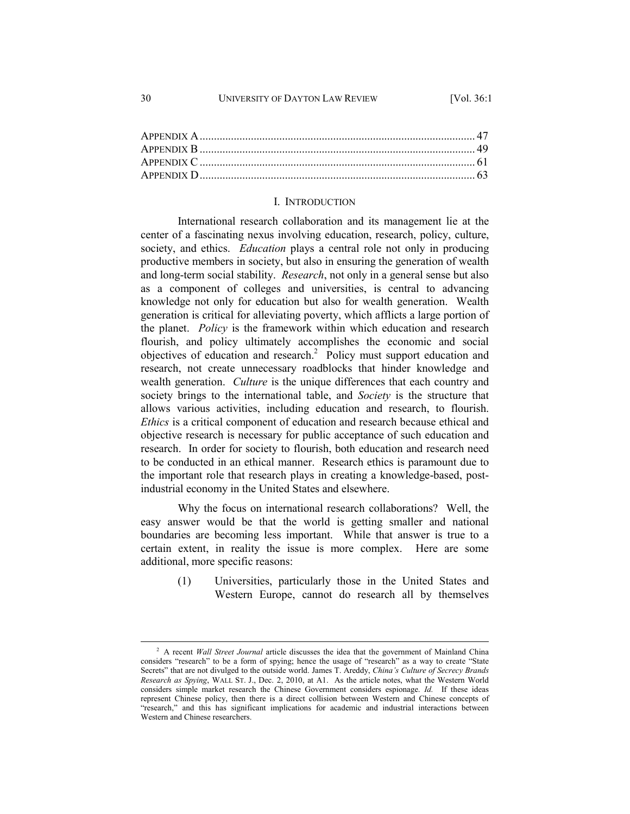#### 30 UNIVERSITY OF DAYTON LAW REVIEW [Vol. 36:1]

APPENDIX A ................................................................................................. 47 APPENDIX B ................................................................................................. 49 APPENDIX C ................................................................................................. 61 APPENDIX D ................................................................................................. 63

# I. INTRODUCTION

International research collaboration and its management lie at the center of a fascinating nexus involving education, research, policy, culture, society, and ethics. *Education* plays a central role not only in producing productive members in society, but also in ensuring the generation of wealth and long-term social stability. *Research*, not only in a general sense but also as a component of colleges and universities, is central to advancing knowledge not only for education but also for wealth generation. Wealth generation is critical for alleviating poverty, which afflicts a large portion of the planet. *Policy* is the framework within which education and research flourish, and policy ultimately accomplishes the economic and social objectives of education and research.<sup>2</sup> Policy must support education and research, not create unnecessary roadblocks that hinder knowledge and wealth generation. *Culture* is the unique differences that each country and society brings to the international table, and *Society* is the structure that allows various activities, including education and research, to flourish. *Ethics* is a critical component of education and research because ethical and objective research is necessary for public acceptance of such education and research. In order for society to flourish, both education and research need to be conducted in an ethical manner. Research ethics is paramount due to the important role that research plays in creating a knowledge-based, postindustrial economy in the United States and elsewhere.

Why the focus on international research collaborations? Well, the easy answer would be that the world is getting smaller and national boundaries are becoming less important. While that answer is true to a certain extent, in reality the issue is more complex. Here are some additional, more specific reasons:

> (1) Universities, particularly those in the United States and Western Europe, cannot do research all by themselves

 $\overline{a}$ <sup>2</sup> A recent *Wall Street Journal* article discusses the idea that the government of Mainland China considers "research" to be a form of spying; hence the usage of "research" as a way to create "State Secrets" that are not divulged to the outside world. James T. Areddy, *China's Culture of Secrecy Brands Research as Spying*, WALL ST. J., Dec. 2, 2010, at A1. As the article notes, what the Western World considers simple market research the Chinese Government considers espionage. *Id.* If these ideas represent Chinese policy, then there is a direct collision between Western and Chinese concepts of "research," and this has significant implications for academic and industrial interactions between Western and Chinese researchers.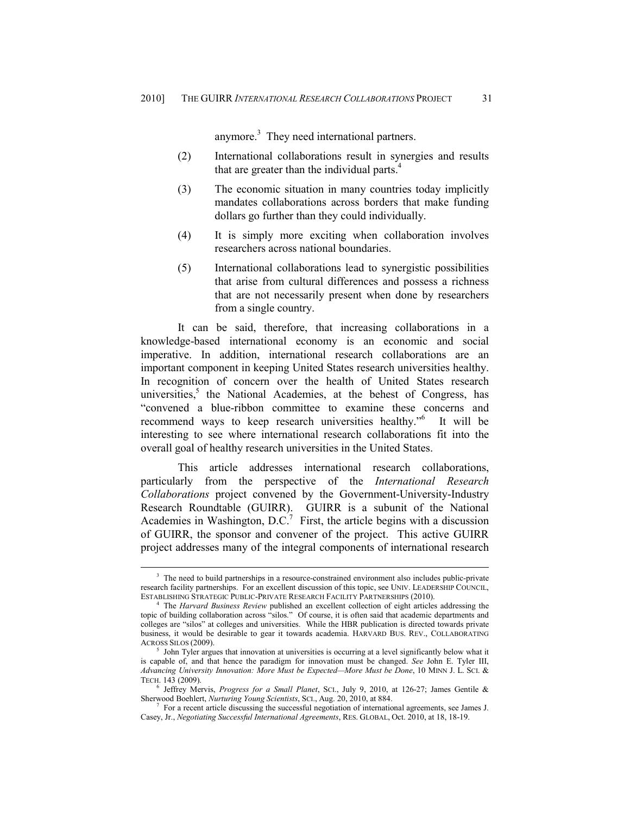anymore.<sup>3</sup> They need international partners.

- (2) International collaborations result in synergies and results that are greater than the individual parts.<sup>4</sup>
	- (3) The economic situation in many countries today implicitly mandates collaborations across borders that make funding dollars go further than they could individually.
	- (4) It is simply more exciting when collaboration involves researchers across national boundaries.
	- (5) International collaborations lead to synergistic possibilities that arise from cultural differences and possess a richness that are not necessarily present when done by researchers from a single country.

It can be said, therefore, that increasing collaborations in a knowledge-based international economy is an economic and social imperative. In addition, international research collaborations are an important component in keeping United States research universities healthy. In recognition of concern over the health of United States research universities,<sup>5</sup> the National Academies, at the behest of Congress, has "convened a blue-ribbon committee to examine these concerns and recommend ways to keep research universities healthy."<sup>6</sup> It will be interesting to see where international research collaborations fit into the overall goal of healthy research universities in the United States.

This article addresses international research collaborations, particularly from the perspective of the *International Research Collaborations* project convened by the Government-University-Industry Research Roundtable (GUIRR). GUIRR is a subunit of the National Academies in Washington,  $D.C.<sup>7</sup>$  First, the article begins with a discussion of GUIRR, the sponsor and convener of the project. This active GUIRR project addresses many of the integral components of international research

 $\overline{\phantom{a}}$ <sup>3</sup> The need to build partnerships in a resource-constrained environment also includes public-private research facility partnerships. For an excellent discussion of this topic, see UNIV. LEADERSHIP COUNCIL, ESTABLISHING STRATEGIC PUBLIC-PRIVATE RESEARCH FACILITY PARTNERSHIPS (2010).

The *Harvard Business Review* published an excellent collection of eight articles addressing the topic of building collaboration across "silos." Of course, it is often said that academic departments and colleges are "silos" at colleges and universities. While the HBR publication is directed towards private business, it would be desirable to gear it towards academia. HARVARD BUS. REV., COLLABORATING ACROSS SILOS (2009).

John Tyler argues that innovation at universities is occurring at a level significantly below what it is capable of, and that hence the paradigm for innovation must be changed. *See* John E. Tyler III, *Advancing University Innovation: More Must be Expected—More Must be Done*, 10 MINN J. L. SCI. & TECH. 143 (2009).

<sup>6</sup> Jeffrey Mervis, *Progress for a Small Planet*, SCI., July 9, 2010, at 126-27; James Gentile & Sherwood Boehlert, *Nurturing Young Scientists*, SCI., Aug. 20, 2010, at 884. 7

For a recent article discussing the successful negotiation of international agreements, see James J. Casey, Jr., *Negotiating Successful International Agreements*, RES. GLOBAL, Oct. 2010, at 18, 18-19.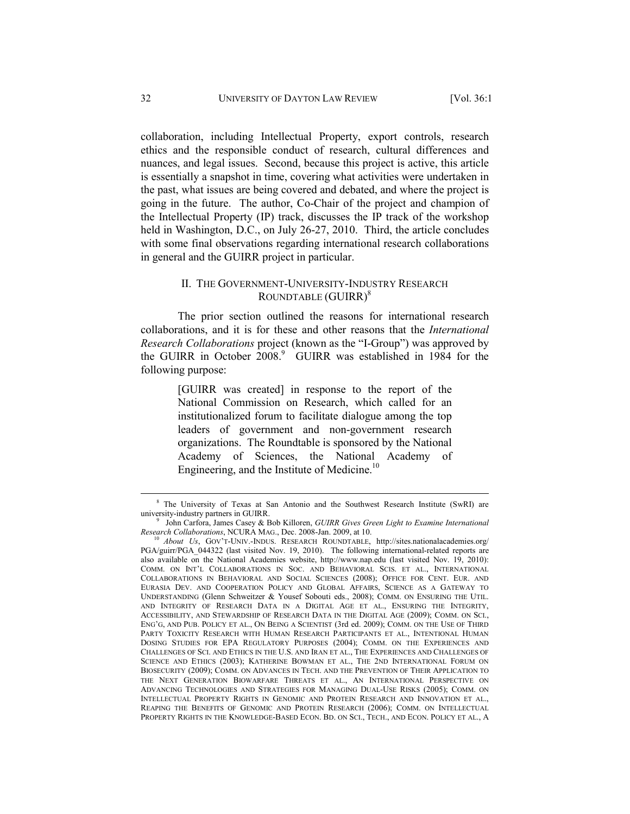collaboration, including Intellectual Property, export controls, research ethics and the responsible conduct of research, cultural differences and nuances, and legal issues. Second, because this project is active, this article is essentially a snapshot in time, covering what activities were undertaken in the past, what issues are being covered and debated, and where the project is going in the future. The author, Co-Chair of the project and champion of the Intellectual Property (IP) track, discusses the IP track of the workshop held in Washington, D.C., on July 26-27, 2010. Third, the article concludes with some final observations regarding international research collaborations in general and the GUIRR project in particular.

# II. THE GOVERNMENT-UNIVERSITY-INDUSTRY RESEARCH ROUNDTABLE (GUIRR)<sup>8</sup>

The prior section outlined the reasons for international research collaborations, and it is for these and other reasons that the *International Research Collaborations* project (known as the "I-Group") was approved by the GUIRR in October 2008.<sup>9</sup> GUIRR was established in 1984 for the following purpose:

> [GUIRR was created] in response to the report of the National Commission on Research, which called for an institutionalized forum to facilitate dialogue among the top leaders of government and non-government research organizations. The Roundtable is sponsored by the National Academy of Sciences, the National Academy of Engineering, and the Institute of Medicine.<sup>10</sup>

 $\frac{1}{8}$ <sup>8</sup> The University of Texas at San Antonio and the Southwest Research Institute (SwRI) are university-industry partners in GUIRR.

<sup>&</sup>lt;sup>9</sup> John Carfora, James Casey & Bob Killoren, *GUIRR Gives Green Light to Examine International Research Collaborations*, NCURA MAG., Dec. 2008-Jan. 2009, at 10.

*About Us, GOV'T-UNIV.-INDUS. RESEARCH ROUNDTABLE, http://sites.nationalacademies.org/* PGA/guirr/PGA\_044322 (last visited Nov. 19, 2010). The following international-related reports are also available on the National Academies website, http://www.nap.edu (last visited Nov. 19, 2010): COMM. ON INT'L COLLABORATIONS IN SOC. AND BEHAVIORAL SCIS. ET AL., INTERNATIONAL COLLABORATIONS IN BEHAVIORAL AND SOCIAL SCIENCES (2008); OFFICE FOR CENT. EUR. AND EURASIA DEV. AND COOPERATION POLICY AND GLOBAL AFFAIRS, SCIENCE AS A GATEWAY TO UNDERSTANDING (Glenn Schweitzer & Yousef Sobouti eds., 2008); COMM. ON ENSURING THE UTIL. AND INTEGRITY OF RESEARCH DATA IN A DIGITAL AGE ET AL., ENSURING THE INTEGRITY, ACCESSIBILITY, AND STEWARDSHIP OF RESEARCH DATA IN THE DIGITAL AGE (2009); COMM. ON SCI., ENG'G, AND PUB. POLICY ET AL., ON BEING A SCIENTIST (3rd ed. 2009); COMM. ON THE USE OF THIRD PARTY TOXICITY RESEARCH WITH HUMAN RESEARCH PARTICIPANTS ET AL., INTENTIONAL HUMAN DOSING STUDIES FOR EPA REGULATORY PURPOSES (2004); COMM. ON THE EXPERIENCES AND CHALLENGES OF SCI. AND ETHICS IN THE U.S. AND IRAN ET AL., THE EXPERIENCES AND CHALLENGES OF SCIENCE AND ETHICS (2003); KATHERINE BOWMAN ET AL., THE 2ND INTERNATIONAL FORUM ON BIOSECURITY (2009); COMM. ON ADVANCES IN TECH. AND THE PREVENTION OF THEIR APPLICATION TO THE NEXT GENERATION BIOWARFARE THREATS ET AL., AN INTERNATIONAL PERSPECTIVE ON ADVANCING TECHNOLOGIES AND STRATEGIES FOR MANAGING DUAL-USE RISKS (2005); COMM. ON INTELLECTUAL PROPERTY RIGHTS IN GENOMIC AND PROTEIN RESEARCH AND INNOVATION ET AL., REAPING THE BENEFITS OF GENOMIC AND PROTEIN RESEARCH (2006); COMM. ON INTELLECTUAL PROPERTY RIGHTS IN THE KNOWLEDGE-BASED ECON. BD. ON SCI., TECH., AND ECON. POLICY ET AL., A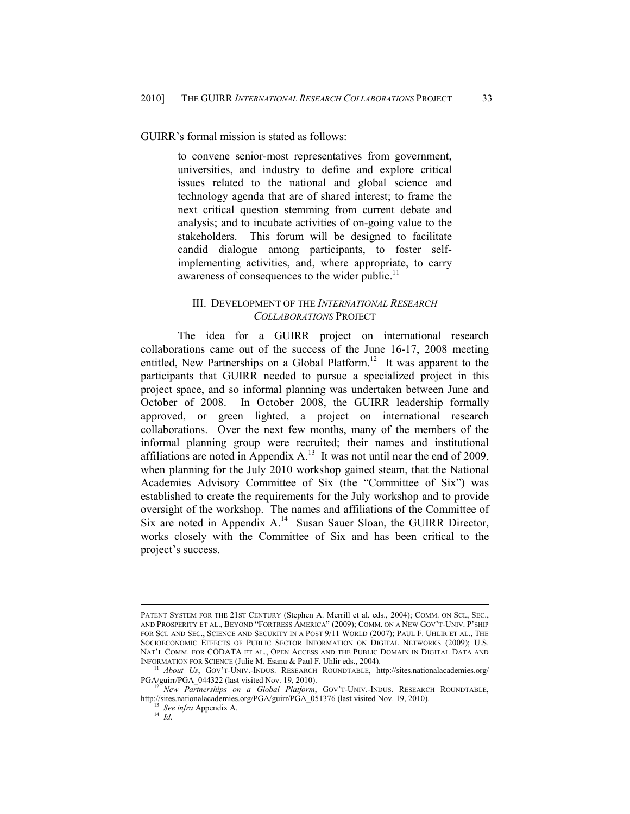#### GUIRR's formal mission is stated as follows:

to convene senior-most representatives from government, universities, and industry to define and explore critical issues related to the national and global science and technology agenda that are of shared interest; to frame the next critical question stemming from current debate and analysis; and to incubate activities of on-going value to the stakeholders. This forum will be designed to facilitate candid dialogue among participants, to foster selfimplementing activities, and, where appropriate, to carry awareness of consequences to the wider public. $<sup>11</sup>$ </sup>

# III. DEVELOPMENT OF THE *INTERNATIONAL RESEARCH COLLABORATIONS* PROJECT

The idea for a GUIRR project on international research collaborations came out of the success of the June 16-17, 2008 meeting entitled, New Partnerships on a Global Platform.<sup>12</sup> It was apparent to the participants that GUIRR needed to pursue a specialized project in this project space, and so informal planning was undertaken between June and October of 2008. In October 2008, the GUIRR leadership formally approved, or green lighted, a project on international research collaborations. Over the next few months, many of the members of the informal planning group were recruited; their names and institutional affiliations are noted in Appendix  $A<sup>13</sup>$ . It was not until near the end of 2009, when planning for the July 2010 workshop gained steam, that the National Academies Advisory Committee of Six (the "Committee of Six") was established to create the requirements for the July workshop and to provide oversight of the workshop. The names and affiliations of the Committee of Six are noted in Appendix  $A<sup>14</sup>$  Susan Sauer Sloan, the GUIRR Director, works closely with the Committee of Six and has been critical to the project's success.

 $\overline{a}$ 

PATENT SYSTEM FOR THE 21ST CENTURY (Stephen A. Merrill et al. eds., 2004); COMM. ON SCI., SEC., AND PROSPERITY ET AL., BEYOND "FORTRESS AMERICA" (2009); COMM. ON A NEW GOV'T-UNIV. P'SHIP FOR SCI. AND SEC., SCIENCE AND SECURITY IN A POST 9/11 WORLD (2007); PAUL F. UHLIR ET AL., THE SOCIOECONOMIC EFFECTS OF PUBLIC SECTOR INFORMATION ON DIGITAL NETWORKS (2009); U.S. NAT'L COMM. FOR CODATA ET AL., OPEN ACCESS AND THE PUBLIC DOMAIN IN DIGITAL DATA AND INFORMATION FOR SCIENCE (Julie M. Esanu & Paul F. Uhlir eds., 2004). 11 *About Us*, GOV'T-UNIV.-INDUS. RESEARCH ROUNDTABLE, http://sites.nationalacademies.org/

PGA/guirr/PGA\_044322 (last visited Nov. 19, 2010). 12 *New Partnerships on a Global Platform*, GOV'T-UNIV.-INDUS. RESEARCH ROUNDTABLE,

http://sites.nationalacademies.org/PGA/guirr/PGA\_051376 (last visited Nov. 19, 2010). 13 *See infra* Appendix A. 14 *Id.*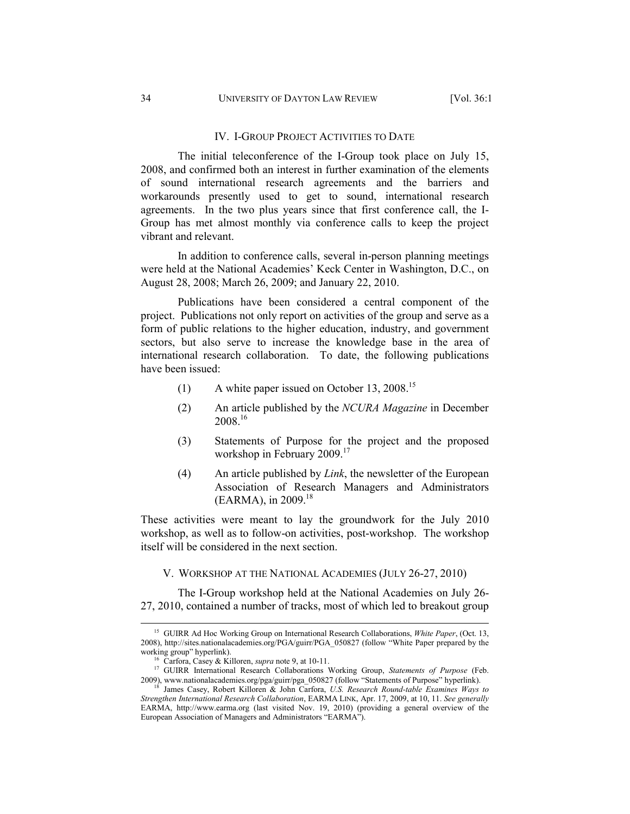#### IV. I-GROUP PROJECT ACTIVITIES TO DATE

The initial teleconference of the I-Group took place on July 15, 2008, and confirmed both an interest in further examination of the elements of sound international research agreements and the barriers and workarounds presently used to get to sound, international research agreements. In the two plus years since that first conference call, the I-Group has met almost monthly via conference calls to keep the project vibrant and relevant.

In addition to conference calls, several in-person planning meetings were held at the National Academies' Keck Center in Washington, D.C., on August 28, 2008; March 26, 2009; and January 22, 2010.

Publications have been considered a central component of the project. Publications not only report on activities of the group and serve as a form of public relations to the higher education, industry, and government sectors, but also serve to increase the knowledge base in the area of international research collaboration. To date, the following publications have been issued:

- (1) A white paper issued on October 13, 2008.15
- (2) An article published by the *NCURA Magazine* in December 2008<sup>16</sup>
- (3) Statements of Purpose for the project and the proposed workshop in February 2009.<sup>17</sup>
- (4) An article published by *Link*, the newsletter of the European Association of Research Managers and Administrators  $(EARMA)$ , in 2009.<sup>18</sup>

These activities were meant to lay the groundwork for the July 2010 workshop, as well as to follow-on activities, post-workshop. The workshop itself will be considered in the next section.

# V. WORKSHOP AT THE NATIONAL ACADEMIES (JULY 26-27, 2010)

The I-Group workshop held at the National Academies on July 26- 27, 2010, contained a number of tracks, most of which led to breakout group

 <sup>15</sup> GUIRR Ad Hoc Working Group on International Research Collaborations, *White Paper*, (Oct. 13, 2008), http://sites.nationalacademies.org/PGA/guirr/PGA\_050827 (follow "White Paper prepared by the working group" hyperlink).

<sup>&</sup>lt;sup>16</sup> Carfora, Casey & Killoren, *supra* note 9, at 10-11.<br><sup>17</sup> GUIRR International Research Collaborations Working Group, *Statements of Purpose* (Feb. 2009), www.nationalacademies.org/pga/guirr/pga\_050827 (follow "Statements of Purpose" hyperlink).<br><sup>18</sup> James Casey, Robert Killoren & John Carfora, *U.S. Research Round-table Examines Ways to* 

*Strengthen International Research Collaboration*, EARMA LINK, Apr. 17, 2009, at 10, 11. *See generally* EARMA, http://www.earma.org (last visited Nov. 19, 2010) (providing a general overview of the European Association of Managers and Administrators "EARMA").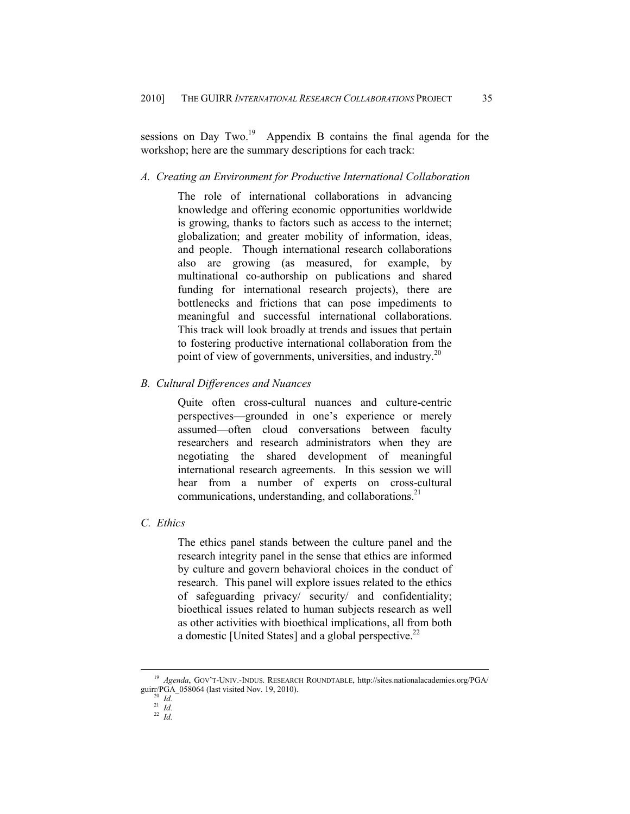sessions on Day Two.<sup>19</sup> Appendix B contains the final agenda for the workshop; here are the summary descriptions for each track:

### *A. Creating an Environment for Productive International Collaboration*

The role of international collaborations in advancing knowledge and offering economic opportunities worldwide is growing, thanks to factors such as access to the internet; globalization; and greater mobility of information, ideas, and people. Though international research collaborations also are growing (as measured, for example, by multinational co-authorship on publications and shared funding for international research projects), there are bottlenecks and frictions that can pose impediments to meaningful and successful international collaborations. This track will look broadly at trends and issues that pertain to fostering productive international collaboration from the point of view of governments, universities, and industry.<sup>20</sup>

#### *B. Cultural Differences and Nuances*

Quite often cross-cultural nuances and culture-centric perspectives—grounded in one's experience or merely assumed—often cloud conversations between faculty researchers and research administrators when they are negotiating the shared development of meaningful international research agreements. In this session we will hear from a number of experts on cross-cultural communications, understanding, and collaborations.<sup>21</sup>

# *C. Ethics*

The ethics panel stands between the culture panel and the research integrity panel in the sense that ethics are informed by culture and govern behavioral choices in the conduct of research. This panel will explore issues related to the ethics of safeguarding privacy/ security/ and confidentiality; bioethical issues related to human subjects research as well as other activities with bioethical implications, all from both a domestic [United States] and a global perspective.<sup>22</sup>

 <sup>19</sup> *Agenda*, GOV'T-UNIV.-INDUS. RESEARCH ROUNDTABLE, http://sites.nationalacademies.org/PGA/ guirr/PGA\_058064 (last visited Nov. 19, 2010).<br><sup>20</sup> *Id.* <sup>21</sup> *Id.* <sup>22</sup> *Id.*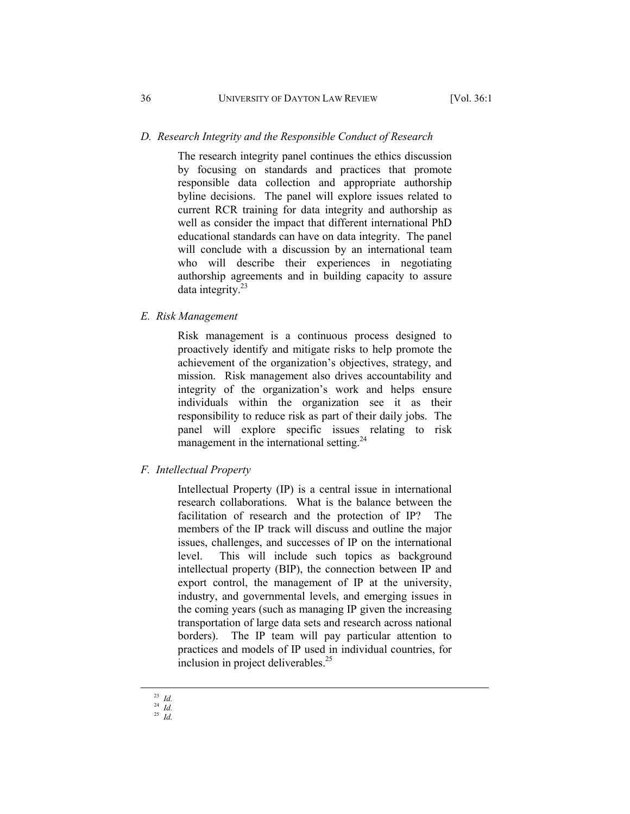# *D. Research Integrity and the Responsible Conduct of Research*

The research integrity panel continues the ethics discussion by focusing on standards and practices that promote responsible data collection and appropriate authorship byline decisions. The panel will explore issues related to current RCR training for data integrity and authorship as well as consider the impact that different international PhD educational standards can have on data integrity. The panel will conclude with a discussion by an international team who will describe their experiences in negotiating authorship agreements and in building capacity to assure data integrity. $^{23}$ 

# *E. Risk Management*

Risk management is a continuous process designed to proactively identify and mitigate risks to help promote the achievement of the organization's objectives, strategy, and mission. Risk management also drives accountability and integrity of the organization's work and helps ensure individuals within the organization see it as their responsibility to reduce risk as part of their daily jobs. The panel will explore specific issues relating to risk management in the international setting.<sup>24</sup>

# *F. Intellectual Property*

Intellectual Property (IP) is a central issue in international research collaborations. What is the balance between the facilitation of research and the protection of IP? The members of the IP track will discuss and outline the major issues, challenges, and successes of IP on the international level. This will include such topics as background intellectual property (BIP), the connection between IP and export control, the management of IP at the university, industry, and governmental levels, and emerging issues in the coming years (such as managing IP given the increasing transportation of large data sets and research across national borders). The IP team will pay particular attention to practices and models of IP used in individual countries, for inclusion in project deliverables.<sup>25</sup>

 <sup>23</sup> *Id.* 24 *Id.* 25 *Id.*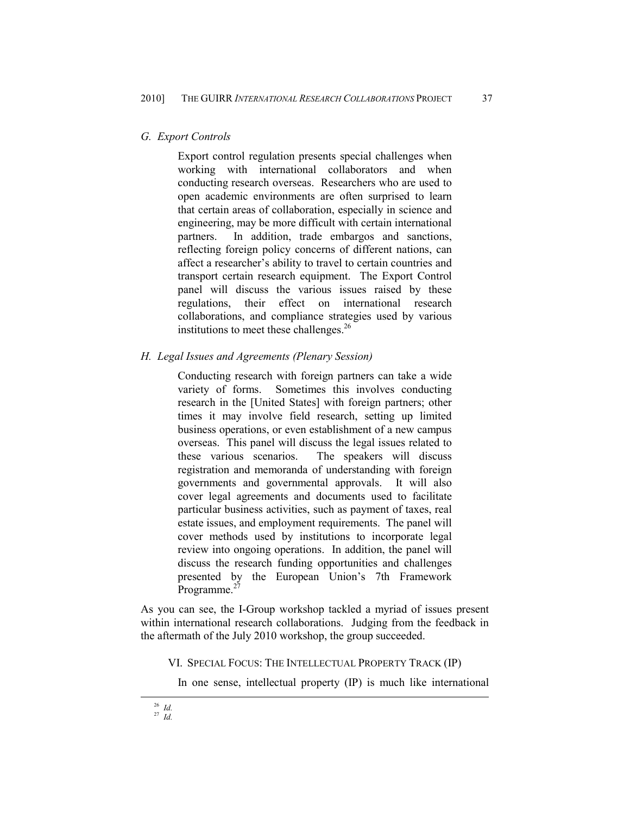# *G. Export Controls*

Export control regulation presents special challenges when working with international collaborators and when conducting research overseas. Researchers who are used to open academic environments are often surprised to learn that certain areas of collaboration, especially in science and engineering, may be more difficult with certain international partners. In addition, trade embargos and sanctions, reflecting foreign policy concerns of different nations, can affect a researcher's ability to travel to certain countries and transport certain research equipment. The Export Control panel will discuss the various issues raised by these regulations, their effect on international research collaborations, and compliance strategies used by various institutions to meet these challenges. $26$ 

# *H. Legal Issues and Agreements (Plenary Session)*

Conducting research with foreign partners can take a wide variety of forms. Sometimes this involves conducting research in the [United States] with foreign partners; other times it may involve field research, setting up limited business operations, or even establishment of a new campus overseas. This panel will discuss the legal issues related to these various scenarios. The speakers will discuss registration and memoranda of understanding with foreign governments and governmental approvals. It will also cover legal agreements and documents used to facilitate particular business activities, such as payment of taxes, real estate issues, and employment requirements. The panel will cover methods used by institutions to incorporate legal review into ongoing operations. In addition, the panel will discuss the research funding opportunities and challenges presented by the European Union's 7th Framework Programme.<sup>27</sup>

As you can see, the I-Group workshop tackled a myriad of issues present within international research collaborations. Judging from the feedback in the aftermath of the July 2010 workshop, the group succeeded.

VI. SPECIAL FOCUS: THE INTELLECTUAL PROPERTY TRACK (IP)

In one sense, intellectual property (IP) is much like international

<sup>26</sup> *Id.* <sup>27</sup> *Id.*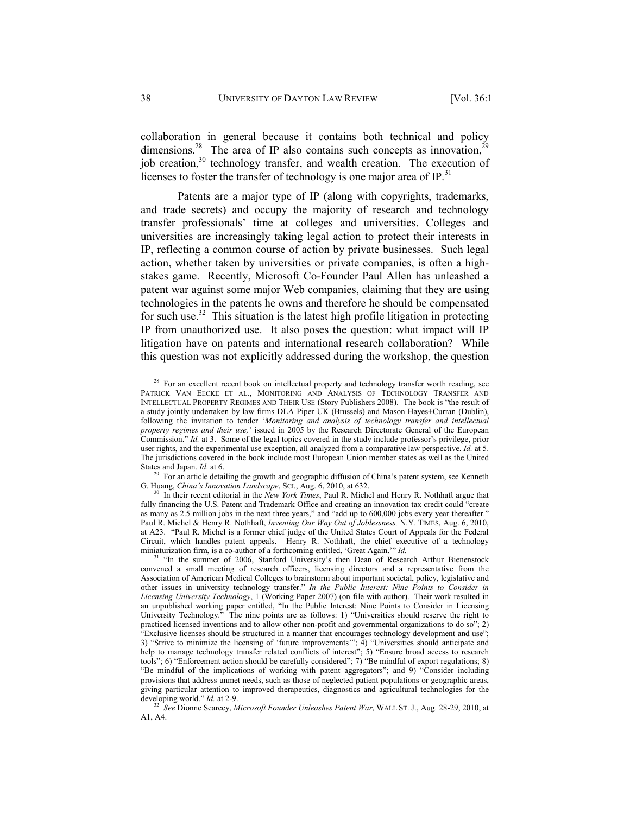collaboration in general because it contains both technical and policy dimensions.<sup>28</sup> The area of IP also contains such concepts as innovation.<sup>29</sup> job creation,<sup>30</sup> technology transfer, and wealth creation. The execution of licenses to foster the transfer of technology is one major area of  $IP$ <sup>31</sup>

Patents are a major type of IP (along with copyrights, trademarks, and trade secrets) and occupy the majority of research and technology transfer professionals' time at colleges and universities. Colleges and universities are increasingly taking legal action to protect their interests in IP, reflecting a common course of action by private businesses. Such legal action, whether taken by universities or private companies, is often a highstakes game. Recently, Microsoft Co-Founder Paul Allen has unleashed a patent war against some major Web companies, claiming that they are using technologies in the patents he owns and therefore he should be compensated for such use.<sup>32</sup> This situation is the latest high profile litigation in protecting IP from unauthorized use. It also poses the question: what impact will IP litigation have on patents and international research collaboration? While this question was not explicitly addressed during the workshop, the question

<sup>&</sup>lt;sup>28</sup> For an excellent recent book on intellectual property and technology transfer worth reading, see PATRICK VAN EECKE ET AL., MONITORING AND ANALYSIS OF TECHNOLOGY TRANSFER AND INTELLECTUAL PROPERTY REGIMES AND THEIR USE (Story Publishers 2008). The book is "the result of a study jointly undertaken by law firms DLA Piper UK (Brussels) and Mason Hayes+Curran (Dublin), following the invitation to tender '*Monitoring and analysis of technology transfer and intellectual property regimes and their use,'* issued in 2005 by the Research Directorate General of the European Commission." *Id.* at 3. Some of the legal topics covered in the study include professor's privilege, prior user rights, and the experimental use exception, all analyzed from a comparative law perspective. *Id.* at 5. The jurisdictions covered in the book include most European Union member states as well as the United<br>States and Japan.  $Id$ . at 6.<br> $\frac{29}{100}$  Figure states and United the state of the state of the state of the state of

For an article detailing the growth and geographic diffusion of China's patent system, see Kenneth G. Huang, *China's Innovation Landscape*, SCI., Aug. 6, 2010, at 632. 30 In their recent editorial in the *New York Times*, Paul R. Michel and Henry R. Nothhaft argue that

fully financing the U.S. Patent and Trademark Office and creating an innovation tax credit could "create as many as 2.5 million jobs in the next three years," and "add up to 600,000 jobs every year thereafter." Paul R. Michel & Henry R. Nothhaft, *Inventing Our Way Out of Joblessness,* N.Y. TIMES, Aug. 6, 2010, at A23. "Paul R. Michel is a former chief judge of the United States Court of Appeals for the Federal Circuit, which handles patent appeals. Henry R. Nothhaft, the chief executive of a technology miniaturization firm, is a co-author of a forthcoming entitled, 'Great Again.'" *Id.* <sup>31</sup> "In the summer of 2006, Stanford University's then Dean of Research Arthur Bienenstock

convened a small meeting of research officers, licensing directors and a representative from the Association of American Medical Colleges to brainstorm about important societal, policy, legislative and other issues in university technology transfer." *In the Public Interest: Nine Points to Consider in Licensing University Technology*, 1 (Working Paper 2007) (on file with author). Their work resulted in an unpublished working paper entitled, "In the Public Interest: Nine Points to Consider in Licensing University Technology." The nine points are as follows: 1) "Universities should reserve the right to practiced licensed inventions and to allow other non-profit and governmental organizations to do so"; 2) "Exclusive licenses should be structured in a manner that encourages technology development and use"; 3) "Strive to minimize the licensing of 'future improvements'"; 4) "Universities should anticipate and help to manage technology transfer related conflicts of interest"; 5) "Ensure broad access to research tools"; 6) "Enforcement action should be carefully considered"; 7) "Be mindful of export regulations; 8) "Be mindful of the implications of working with patent aggregators"; and 9) "Consider including provisions that address unmet needs, such as those of neglected patient populations or geographic areas, giving particular attention to improved therapeutics, diagnostics and agricultural technologies for the

developing world." *Id.* at 2-9.<br><sup>32</sup> *See* Dionne Searcey, *Microsoft Founder Unleashes Patent War*, WALL ST. J., Aug. 28-29, 2010, at A1, A4.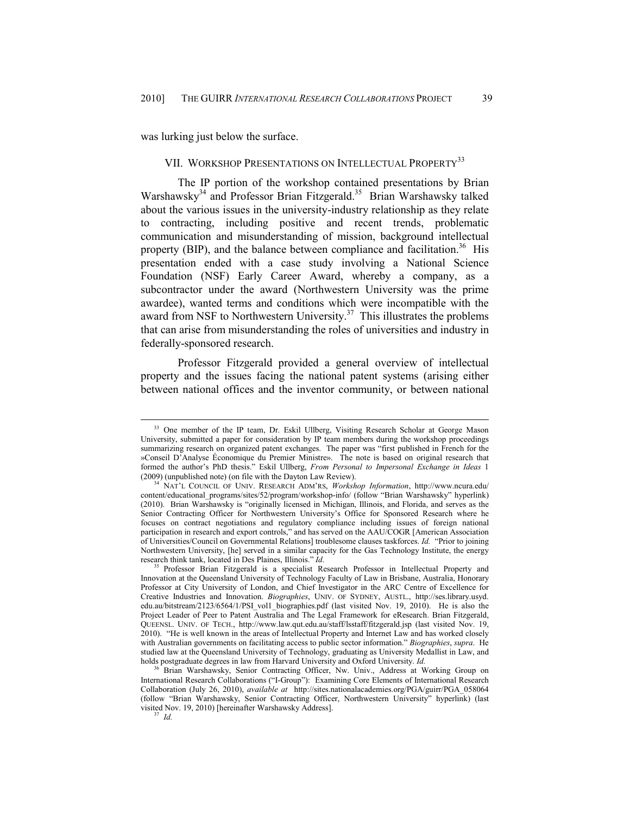was lurking just below the surface.

# VII. WORKSHOP PRESENTATIONS ON INTELLECTUAL PROPERTY<sup>33</sup>

The IP portion of the workshop contained presentations by Brian Warshawsky<sup>34</sup> and Professor Brian Fitzgerald.<sup>35</sup> Brian Warshawsky talked about the various issues in the university-industry relationship as they relate to contracting, including positive and recent trends, problematic communication and misunderstanding of mission, background intellectual property (BIP), and the balance between compliance and facilitation.<sup>36</sup> His presentation ended with a case study involving a National Science Foundation (NSF) Early Career Award, whereby a company, as a subcontractor under the award (Northwestern University was the prime awardee), wanted terms and conditions which were incompatible with the award from NSF to Northwestern University.<sup>37</sup> This illustrates the problems that can arise from misunderstanding the roles of universities and industry in federally-sponsored research.

Professor Fitzgerald provided a general overview of intellectual property and the issues facing the national patent systems (arising either between national offices and the inventor community, or between national

<sup>&</sup>lt;sup>33</sup> One member of the IP team, Dr. Eskil Ullberg, Visiting Research Scholar at George Mason University, submitted a paper for consideration by IP team members during the workshop proceedings summarizing research on organized patent exchanges. The paper was "first published in French for the »Conseil D'Analyse Économique du Premier Ministre». The note is based on original research that formed the author's PhD thesis." Eskil Ullberg, *From Personal to Impersonal Exchange in Ideas* 1 (2009) (unpublished note) (on file with the Dayton Law Review). 34 NAT'L COUNCIL OF UNIV. RESEARCH ADM'RS, *Workshop Information*, http://www.ncura.edu/

content/educational\_programs/sites/52/program/workshop-info/ (follow "Brian Warshawsky" hyperlink) (2010). Brian Warshawsky is "originally licensed in Michigan, Illinois, and Florida, and serves as the Senior Contracting Officer for Northwestern University's Office for Sponsored Research where he focuses on contract negotiations and regulatory compliance including issues of foreign national participation in research and export controls," and has served on the AAU/COGR [American Association of Universities/Council on Governmental Relations] troublesome clauses taskforces. *Id.* "Prior to joining Northwestern University, [he] served in a similar capacity for the Gas Technology Institute, the energy research think tank, located in Des Plaines, Illinois." Id.

Professor Brian Fitzgerald is a specialist Research Professor in Intellectual Property and Innovation at the Queensland University of Technology Faculty of Law in Brisbane, Australia, Honorary Professor at City University of London, and Chief Investigator in the ARC Centre of Excellence for Creative Industries and Innovation. *Biographies*, UNIV. OF SYDNEY, AUSTL., http://ses.library.usyd. edu.au/bitstream/2123/6564/1/PSI\_vol1\_biographies.pdf (last visited Nov. 19, 2010). He is also the Project Leader of Peer to Patent Australia and The Legal Framework for eResearch. Brian Fitzgerald, QUEENSL. UNIV. OF TECH., http://www.law.qut.edu.au/staff/lsstaff/fitzgerald.jsp (last visited Nov. 19, 2010). "He is well known in the areas of Intellectual Property and Internet Law and has worked closely with Australian governments on facilitating access to public sector information." *Biographies*, *supra*. He studied law at the Queensland University of Technology, graduating as University Medallist in Law, and holds postgraduate degrees in law from Harvard University and Oxford University. *Id.* 36 Brian Warshawsky, Senior Contracting Officer, Nw. Univ., Address at Working Group on

International Research Collaborations ("I-Group"): Examining Core Elements of International Research Collaboration (July 26, 2010), *available at* http://sites.nationalacademies.org/PGA/guirr/PGA\_058064 (follow "Brian Warshawsky, Senior Contracting Officer, Northwestern University" hyperlink) (last visited Nov. 19, 2010) [hereinafter Warshawsky Address]. 37 *Id.*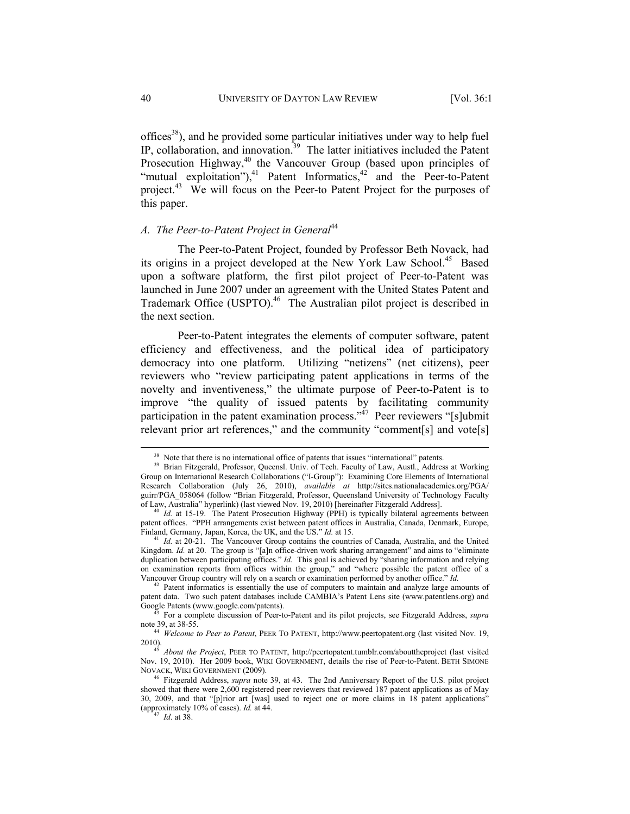$offices<sup>38</sup>$ ), and he provided some particular initiatives under way to help fuel IP, collaboration, and innovation.<sup>39</sup> The latter initiatives included the Patent Prosecution Highway,<sup>40</sup> the Vancouver Group (based upon principles of "mutual exploitation"), $^{41}$  Patent Informatics, $^{42}$  and the Peer-to-Patent project.<sup>43</sup> We will focus on the Peer-to Patent Project for the purposes of this paper.

# *A. The Peer-to-Patent Project in General*<sup>44</sup>

The Peer-to-Patent Project, founded by Professor Beth Novack, had its origins in a project developed at the New York Law School.<sup>45</sup> Based upon a software platform, the first pilot project of Peer-to-Patent was launched in June 2007 under an agreement with the United States Patent and Trademark Office (USPTO).<sup>46</sup> The Australian pilot project is described in the next section.

Peer-to-Patent integrates the elements of computer software, patent efficiency and effectiveness, and the political idea of participatory democracy into one platform. Utilizing "netizens" (net citizens), peer reviewers who "review participating patent applications in terms of the novelty and inventiveness," the ultimate purpose of Peer-to-Patent is to improve "the quality of issued patents by facilitating community participation in the patent examination process. $\mathbb{R}^{47}$  Peer reviewers "[s]ubmit] relevant prior art references," and the community "comment[s] and vote[s]

<sup>&</sup>lt;sup>38</sup> Note that there is no international office of patents that issues "international" patents.

<sup>&</sup>lt;sup>39</sup> Brian Fitzgerald, Professor, Queensl. Univ. of Tech. Faculty of Law, Austl., Address at Working Group on International Research Collaborations ("I-Group"): Examining Core Elements of International Research Collaboration (July 26, 2010), *available at* http://sites.nationalacademies.org/PGA/ guirr/PGA\_058064 (follow "Brian Fitzgerald, Professor, Queensland University of Technology Faculty of Law, Australia" hyperlink) (last viewed Nov. 19, 2010) [hereinafter Fitzgerald Address]. 40 *Id.* at 15-19. The Patent Prosecution Highway (PPH) is typically bilateral agreements between

patent offices. "PPH arrangements exist between patent offices in Australia, Canada, Denmark, Europe, Finland, Germany, Japan, Korea, the UK, and the US." *Id.* at 15.

Id. at 20-21. The Vancouver Group contains the countries of Canada, Australia, and the United Kingdom. *Id.* at 20. The group is "[a]n office-driven work sharing arrangement" and aims to "eliminate" duplication between participating offices." *Id.* This goal is achieved by "sharing information and relying on examination reports from offices within the group," and "where possible the patent office of a Vancouver Group country will rely on a search or examination performed by another office." *Id.* 42 Patent informatics is essentially the use of computers to maintain and analyze large amounts of

patent data. Two such patent databases include CAMBIA's Patent Lens site (www.patentlens.org) and Google Patents (www.google.com/patents).<br><sup>43</sup> For a complete discussion of Peer-to-Patent and its pilot projects, see Fitzgerald Address, *supra* 

note 39, at 38-55. 44 *Welcome to Peer to Patent*, PEER TO PATENT, http://www.peertopatent.org (last visited Nov. 19,

<sup>2010). 45</sup> *About the Project*, PEER TO PATENT, http://peertopatent.tumblr.com/abouttheproject (last visited

Nov. 19, 2010). Her 2009 book, WIKI GOVERNMENT, details the rise of Peer-to-Patent. BETH SIMONE NOVACK, WIKI GOVERNMENT (2009). 46 Fitzgerald Address, *supra* note 39, at 43. The 2nd Anniversary Report of the U.S. pilot project

showed that there were 2,600 registered peer reviewers that reviewed 187 patent applications as of May 30, 2009, and that "[p]rior art [was] used to reject one or more claims in 18 patent applications" (approximately 10% of cases). *Id.* at 44. 47 *Id*. at 38.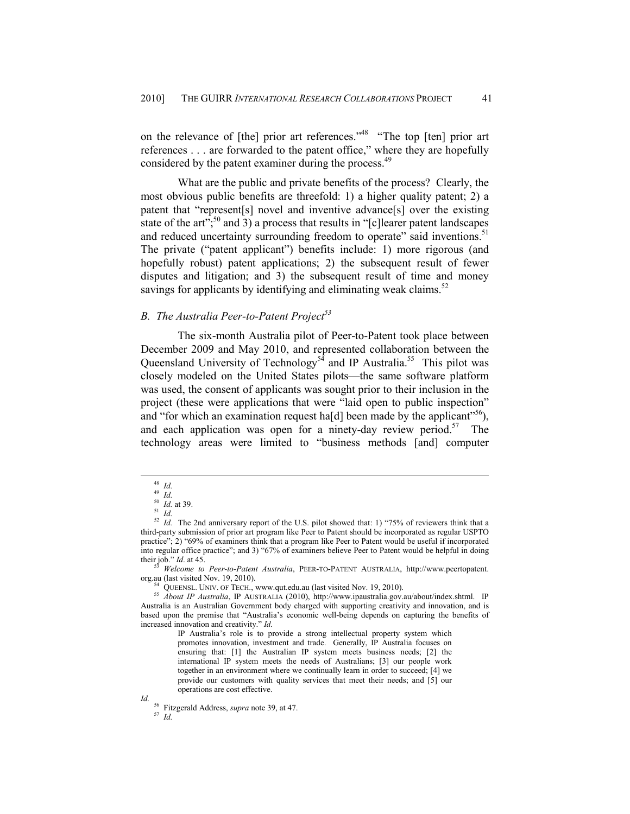on the relevance of [the] prior art references.<sup>348</sup> "The top [ten] prior art references . . . are forwarded to the patent office," where they are hopefully considered by the patent examiner during the process.<sup>49</sup>

What are the public and private benefits of the process? Clearly, the most obvious public benefits are threefold: 1) a higher quality patent; 2) a patent that "represent[s] novel and inventive advance[s] over the existing state of the art<sup> $\dot{r}$ </sup>;<sup>50</sup> and 3) a process that results in "[c]learer patent landscapes and reduced uncertainty surrounding freedom to operate" said inventions.<sup>51</sup> The private ("patent applicant") benefits include: 1) more rigorous (and hopefully robust) patent applications; 2) the subsequent result of fewer disputes and litigation; and 3) the subsequent result of time and money savings for applicants by identifying and eliminating weak claims. $52$ 

# *B. The Australia Peer-to-Patent Project*<sup>53</sup>

The six-month Australia pilot of Peer-to-Patent took place between December 2009 and May 2010, and represented collaboration between the Queensland University of Technology<sup>54</sup> and IP Australia.<sup>55</sup> This pilot was closely modeled on the United States pilots—the same software platform was used, the consent of applicants was sought prior to their inclusion in the project (these were applications that were "laid open to public inspection" and "for which an examination request ha[d] been made by the applicant"<sup>56</sup>), and each application was open for a ninety-day review period.<sup>57</sup> The technology areas were limited to "business methods [and] computer

<sup>48</sup> *Id.*<br><sup>49</sup> *Id.*<br><sup>51</sup> *Id.*<br><sup>51</sup> *Id.*<br><sup>52</sup> *Id.* The 2nd anniversary report of the U.S. pilot showed that: 1) "75% of reviewers think that a third-party submission of prior art program like Peer to Patent should be incorporated as regular USPTO practice"; 2) "69% of examiners think that a program like Peer to Patent would be useful if incorporated into regular office practice"; and 3) "67% of examiners believe Peer to Patent would be helpful in doing their job." *Id.* at 45.

<sup>&</sup>lt;sup>53</sup> *Welcome to Peer-to-Patent Australia*, PEER-TO-PATENT AUSTRALIA, http://www.peertopatent. org.au (last visited Nov. 19, 2010).

<sup>&</sup>lt;sup>54</sup> QUEENSL. UNIV. OF TECH., www.qut.edu.au (last visited Nov. 19, 2010).<br><sup>55</sup> *About IP Australia*, IP AUSTRALIA (2010), http://www.ipaustralia.gov.au/about/index.shtml. IP Australia is an Australian Government body charged with supporting creativity and innovation, and is based upon the premise that "Australia's economic well-being depends on capturing the benefits of increased innovation and creativity." *Id.*

IP Australia's role is to provide a strong intellectual property system which promotes innovation, investment and trade. Generally, IP Australia focuses on ensuring that: [1] the Australian IP system meets business needs; [2] the international IP system meets the needs of Australians; [3] our people work together in an environment where we continually learn in order to succeed; [4] we provide our customers with quality services that meet their needs; and [5] our operations are cost effective.

*Id.* 56 Fitzgerald Address, *supra* note 39, at 47. 57 *Id.*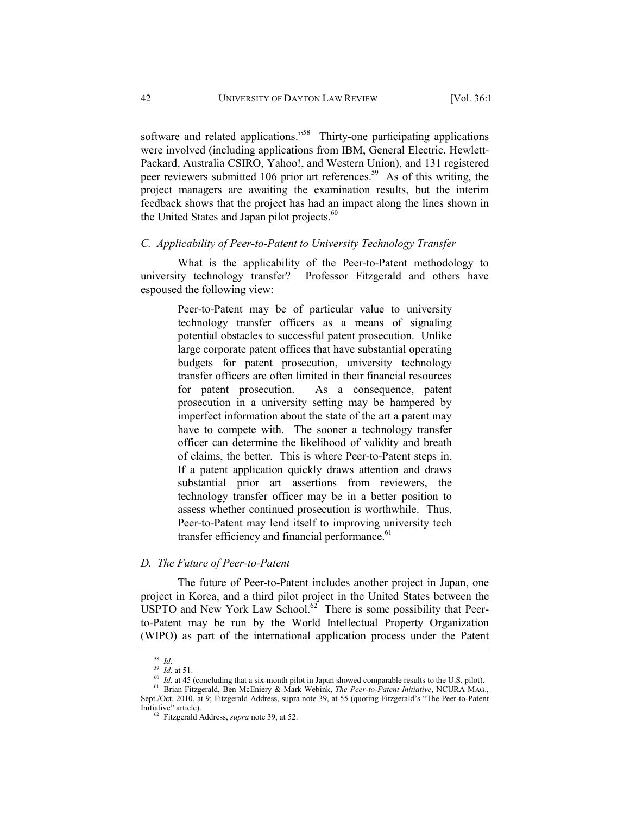software and related applications."<sup>58</sup> Thirty-one participating applications were involved (including applications from IBM, General Electric, Hewlett-Packard, Australia CSIRO, Yahoo!, and Western Union), and 131 registered peer reviewers submitted 106 prior art references.<sup>59</sup> As of this writing, the project managers are awaiting the examination results, but the interim feedback shows that the project has had an impact along the lines shown in the United States and Japan pilot projects.<sup>60</sup>

# *C. Applicability of Peer-to-Patent to University Technology Transfer*

What is the applicability of the Peer-to-Patent methodology to university technology transfer? Professor Fitzgerald and others have espoused the following view:

> Peer-to-Patent may be of particular value to university technology transfer officers as a means of signaling potential obstacles to successful patent prosecution. Unlike large corporate patent offices that have substantial operating budgets for patent prosecution, university technology transfer officers are often limited in their financial resources for patent prosecution. As a consequence, patent prosecution in a university setting may be hampered by imperfect information about the state of the art a patent may have to compete with. The sooner a technology transfer officer can determine the likelihood of validity and breath of claims, the better. This is where Peer-to-Patent steps in. If a patent application quickly draws attention and draws substantial prior art assertions from reviewers, the technology transfer officer may be in a better position to assess whether continued prosecution is worthwhile. Thus, Peer-to-Patent may lend itself to improving university tech transfer efficiency and financial performance.<sup>61</sup>

#### *D. The Future of Peer-to-Patent*

The future of Peer-to-Patent includes another project in Japan, one project in Korea, and a third pilot project in the United States between the USPTO and New York Law School.<sup>62</sup> There is some possibility that Peerto-Patent may be run by the World Intellectual Property Organization (WIPO) as part of the international application process under the Patent

<sup>&</sup>lt;sup>58</sup> *Id.*<br><sup>59</sup> *Id.* at 51.<br><sup>60</sup> *Id.* at 45 (concluding that a six-month pilot in Japan showed comparable results to the U.S. pilot).<br><sup>61</sup> Brian Fitzgerald, Ben McEniery & Mark Webink, *The Peer-to-Patent Initiative*, N Sept./Oct. 2010, at 9; Fitzgerald Address, supra note 39, at 55 (quoting Fitzgerald's "The Peer-to-Patent Initiative" article). 62 Fitzgerald Address, *supra* note 39, at 52.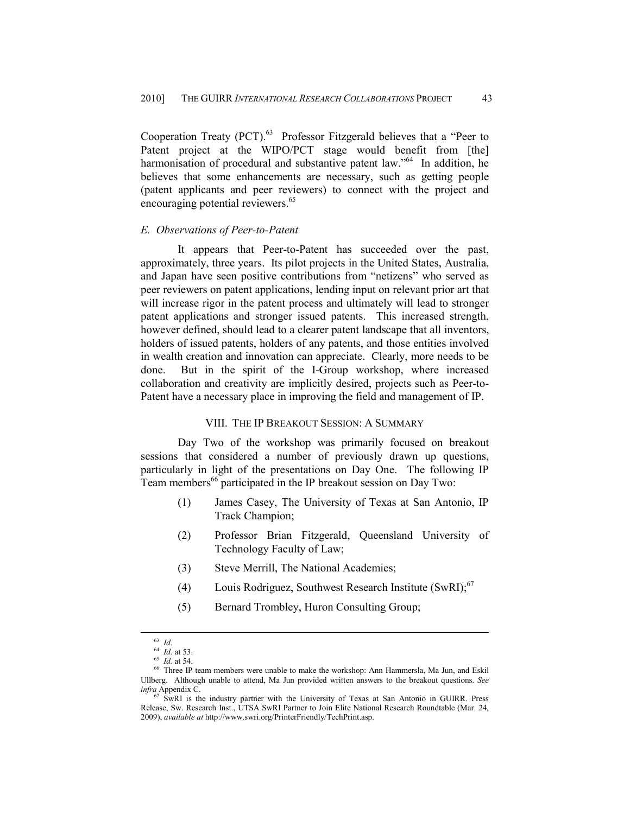Cooperation Treaty (PCT). $^{63}$  Professor Fitzgerald believes that a "Peer to Patent project at the WIPO/PCT stage would benefit from [the] harmonisation of procedural and substantive patent law."<sup>64</sup> In addition, he believes that some enhancements are necessary, such as getting people (patent applicants and peer reviewers) to connect with the project and encouraging potential reviewers.<sup>65</sup>

#### *E. Observations of Peer-to-Patent*

It appears that Peer-to-Patent has succeeded over the past, approximately, three years. Its pilot projects in the United States, Australia, and Japan have seen positive contributions from "netizens" who served as peer reviewers on patent applications, lending input on relevant prior art that will increase rigor in the patent process and ultimately will lead to stronger patent applications and stronger issued patents. This increased strength, however defined, should lead to a clearer patent landscape that all inventors, holders of issued patents, holders of any patents, and those entities involved in wealth creation and innovation can appreciate. Clearly, more needs to be done. But in the spirit of the I-Group workshop, where increased collaboration and creativity are implicitly desired, projects such as Peer-to-Patent have a necessary place in improving the field and management of IP.

# VIII. THE IP BREAKOUT SESSION: A SUMMARY

Day Two of the workshop was primarily focused on breakout sessions that considered a number of previously drawn up questions, particularly in light of the presentations on Day One. The following IP Team members<sup>66</sup> participated in the IP breakout session on Day Two:

- (1) James Casey, The University of Texas at San Antonio, IP Track Champion;
- (2) Professor Brian Fitzgerald, Queensland University of Technology Faculty of Law;
- (3) Steve Merrill, The National Academies;
- (4) Louis Rodriguez, Southwest Research Institute  $(SwRI)$ ;<sup>67</sup>
- (5) Bernard Trombley, Huron Consulting Group;

<sup>&</sup>lt;sup>63</sup> *Id.*<br><sup>64</sup> *Id.* at 53.<br><sup>65</sup> *Id.* at 54.<br><sup>66</sup> Three IP team members were unable to make the workshop: Ann Hammersla, Ma Jun, and Eskil Ullberg. Although unable to attend, Ma Jun provided written answers to the breakout questions. *See infra* Appendix C. 67 SwRI is the industry partner with the University of Texas at San Antonio in GUIRR. Press

Release, Sw. Research Inst., UTSA SwRI Partner to Join Elite National Research Roundtable (Mar. 24, 2009), *available at* http://www.swri.org/PrinterFriendly/TechPrint.asp.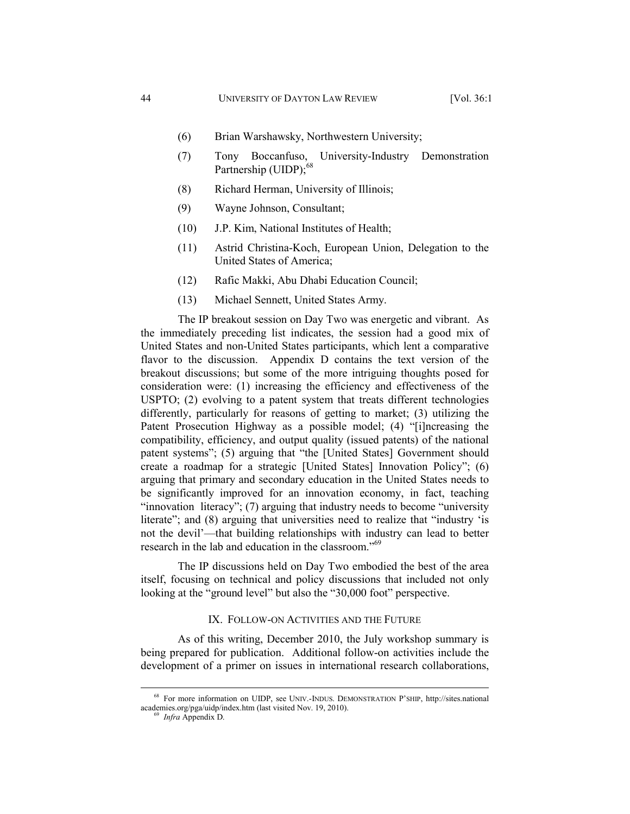- (6) Brian Warshawsky, Northwestern University;
- (7) Tony Boccanfuso, University-Industry Demonstration Partnership (UIDP);<sup>68</sup>
- (8) Richard Herman, University of Illinois;
- (9) Wayne Johnson, Consultant;
- (10) J.P. Kim, National Institutes of Health;
- (11) Astrid Christina-Koch, European Union, Delegation to the United States of America;
- (12) Rafic Makki, Abu Dhabi Education Council;
- (13) Michael Sennett, United States Army.

The IP breakout session on Day Two was energetic and vibrant. As the immediately preceding list indicates, the session had a good mix of United States and non-United States participants, which lent a comparative flavor to the discussion. Appendix D contains the text version of the breakout discussions; but some of the more intriguing thoughts posed for consideration were: (1) increasing the efficiency and effectiveness of the USPTO; (2) evolving to a patent system that treats different technologies differently, particularly for reasons of getting to market; (3) utilizing the Patent Prosecution Highway as a possible model; (4) "[i]ncreasing the compatibility, efficiency, and output quality (issued patents) of the national patent systems"; (5) arguing that "the [United States] Government should create a roadmap for a strategic [United States] Innovation Policy"; (6) arguing that primary and secondary education in the United States needs to be significantly improved for an innovation economy, in fact, teaching "innovation literacy"; (7) arguing that industry needs to become "university literate"; and (8) arguing that universities need to realize that "industry 'is not the devil'—that building relationships with industry can lead to better research in the lab and education in the classroom."<sup>69</sup>

The IP discussions held on Day Two embodied the best of the area itself, focusing on technical and policy discussions that included not only looking at the "ground level" but also the "30,000 foot" perspective.

#### IX. FOLLOW-ON ACTIVITIES AND THE FUTURE

As of this writing, December 2010, the July workshop summary is being prepared for publication. Additional follow-on activities include the development of a primer on issues in international research collaborations,

 <sup>68</sup> For more information on UIDP, see UNIV.-INDUS. DEMONSTRATION P'SHIP, http://sites.national academies.org/pga/uidp/index.htm (last visited Nov. 19, 2010). 69 *Infra* Appendix D.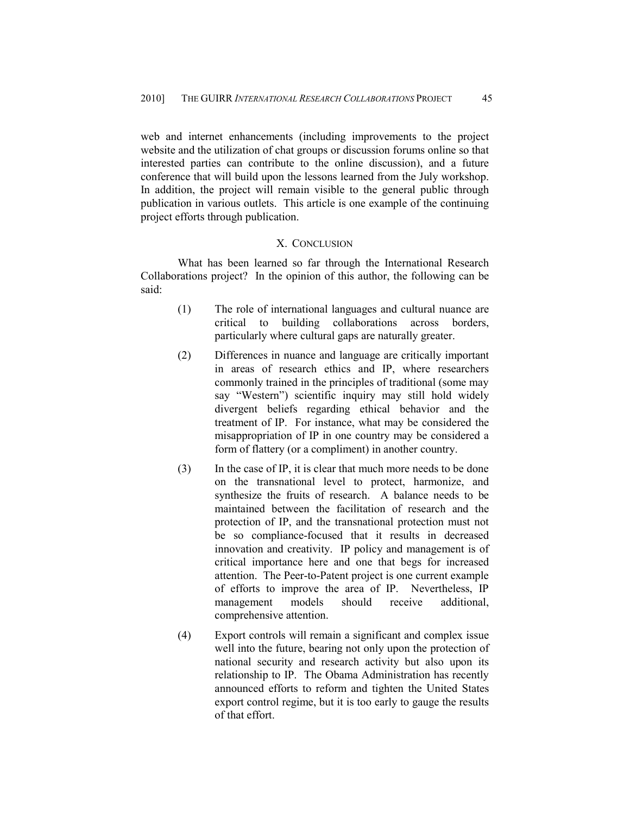web and internet enhancements (including improvements to the project website and the utilization of chat groups or discussion forums online so that interested parties can contribute to the online discussion), and a future conference that will build upon the lessons learned from the July workshop. In addition, the project will remain visible to the general public through publication in various outlets. This article is one example of the continuing project efforts through publication.

# X. CONCLUSION

What has been learned so far through the International Research Collaborations project? In the opinion of this author, the following can be said:

- (1) The role of international languages and cultural nuance are critical to building collaborations across borders, particularly where cultural gaps are naturally greater.
- (2) Differences in nuance and language are critically important in areas of research ethics and IP, where researchers commonly trained in the principles of traditional (some may say "Western") scientific inquiry may still hold widely divergent beliefs regarding ethical behavior and the treatment of IP. For instance, what may be considered the misappropriation of IP in one country may be considered a form of flattery (or a compliment) in another country.
- (3) In the case of IP, it is clear that much more needs to be done on the transnational level to protect, harmonize, and synthesize the fruits of research. A balance needs to be maintained between the facilitation of research and the protection of IP, and the transnational protection must not be so compliance-focused that it results in decreased innovation and creativity. IP policy and management is of critical importance here and one that begs for increased attention. The Peer-to-Patent project is one current example of efforts to improve the area of IP. Nevertheless, IP management models should receive additional, comprehensive attention.
- (4) Export controls will remain a significant and complex issue well into the future, bearing not only upon the protection of national security and research activity but also upon its relationship to IP. The Obama Administration has recently announced efforts to reform and tighten the United States export control regime, but it is too early to gauge the results of that effort.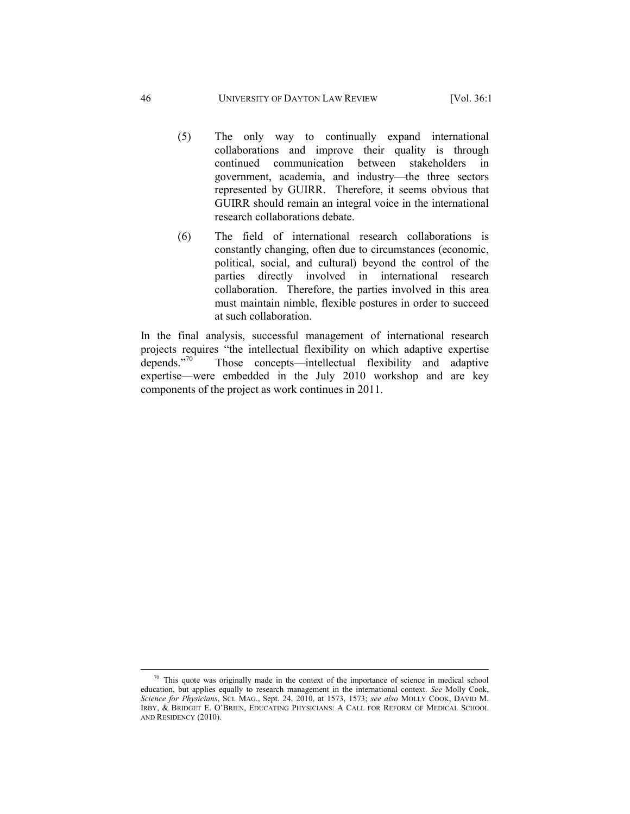#### 46 UNIVERSITY OF DAYTON LAW REVIEW [Vol. 36:1]

- (5) The only way to continually expand international collaborations and improve their quality is through continued communication between stakeholders in government, academia, and industry—the three sectors represented by GUIRR. Therefore, it seems obvious that GUIRR should remain an integral voice in the international research collaborations debate.
- (6) The field of international research collaborations is constantly changing, often due to circumstances (economic, political, social, and cultural) beyond the control of the parties directly involved in international research collaboration. Therefore, the parties involved in this area must maintain nimble, flexible postures in order to succeed at such collaboration.

In the final analysis, successful management of international research projects requires "the intellectual flexibility on which adaptive expertise depends."70 Those concepts—intellectual flexibility and adaptive expertise—were embedded in the July 2010 workshop and are key components of the project as work continues in 2011.

 $70$  This quote was originally made in the context of the importance of science in medical school education, but applies equally to research management in the international context. *See* Molly Cook, *Science for Physicians*, SCI. MAG., Sept. 24, 2010, at 1573, 1573; *see also* MOLLY COOK, DAVID M. IRBY, & BRIDGET E. O'BRIEN, EDUCATING PHYSICIANS: A CALL FOR REFORM OF MEDICAL SCHOOL AND RESIDENCY (2010).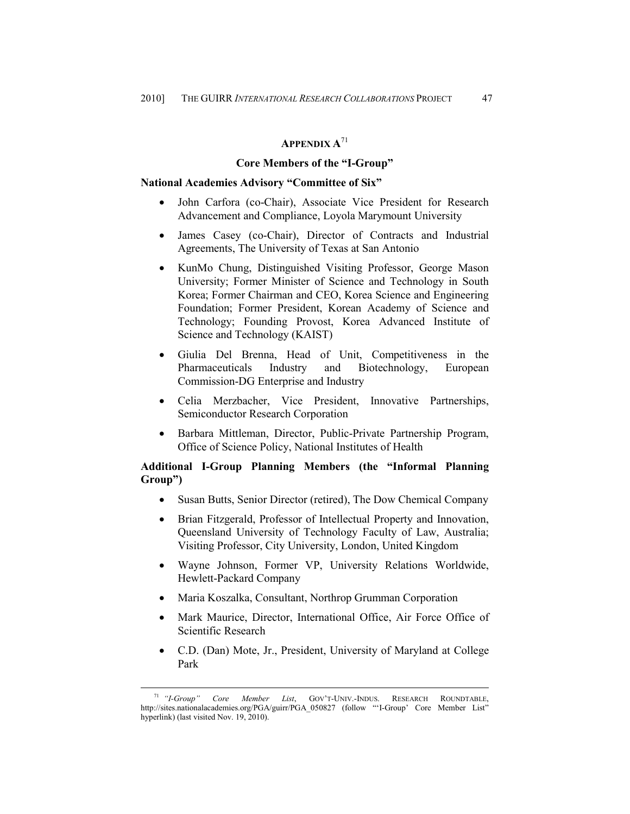# **APPENDIX A**<sup>71</sup>

# **Core Members of the "I-Group"**

# **National Academies Advisory "Committee of Six"**

- John Carfora (co-Chair), Associate Vice President for Research Advancement and Compliance, Loyola Marymount University
- James Casey (co-Chair), Director of Contracts and Industrial Agreements, The University of Texas at San Antonio
- KunMo Chung, Distinguished Visiting Professor, George Mason University; Former Minister of Science and Technology in South Korea; Former Chairman and CEO, Korea Science and Engineering Foundation; Former President, Korean Academy of Science and Technology; Founding Provost, Korea Advanced Institute of Science and Technology (KAIST)
- Giulia Del Brenna, Head of Unit, Competitiveness in the Pharmaceuticals Industry and Biotechnology, European Commission-DG Enterprise and Industry
- Celia Merzbacher, Vice President, Innovative Partnerships, Semiconductor Research Corporation
- Barbara Mittleman, Director, Public-Private Partnership Program, Office of Science Policy, National Institutes of Health

# **Additional I-Group Planning Members (the "Informal Planning Group")**

- Susan Butts, Senior Director (retired), The Dow Chemical Company
- Brian Fitzgerald, Professor of Intellectual Property and Innovation, Queensland University of Technology Faculty of Law, Australia; Visiting Professor, City University, London, United Kingdom
- Wayne Johnson, Former VP, University Relations Worldwide, Hewlett-Packard Company
- Maria Koszalka, Consultant, Northrop Grumman Corporation
- Mark Maurice, Director, International Office, Air Force Office of Scientific Research
- C.D. (Dan) Mote, Jr., President, University of Maryland at College Park

 <sup>71</sup> *"I-Group" Core Member List*, GOV'T-UNIV.-INDUS. RESEARCH ROUNDTABLE, http://sites.nationalacademies.org/PGA/guirr/PGA\_050827 (follow "'I-Group' Core Member List" hyperlink) (last visited Nov. 19, 2010).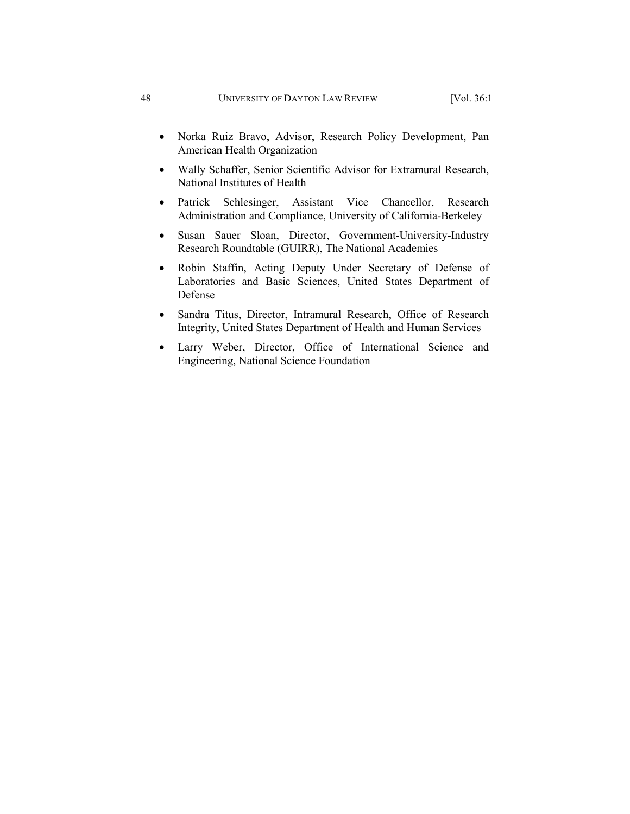- Norka Ruiz Bravo, Advisor, Research Policy Development, Pan American Health Organization
- Wally Schaffer, Senior Scientific Advisor for Extramural Research, National Institutes of Health
- Patrick Schlesinger, Assistant Vice Chancellor, Research Administration and Compliance, University of California-Berkeley
- Susan Sauer Sloan, Director, Government-University-Industry Research Roundtable (GUIRR), The National Academies
- Robin Staffin, Acting Deputy Under Secretary of Defense of Laboratories and Basic Sciences, United States Department of Defense
- Sandra Titus, Director, Intramural Research, Office of Research Integrity, United States Department of Health and Human Services
- Larry Weber, Director, Office of International Science and Engineering, National Science Foundation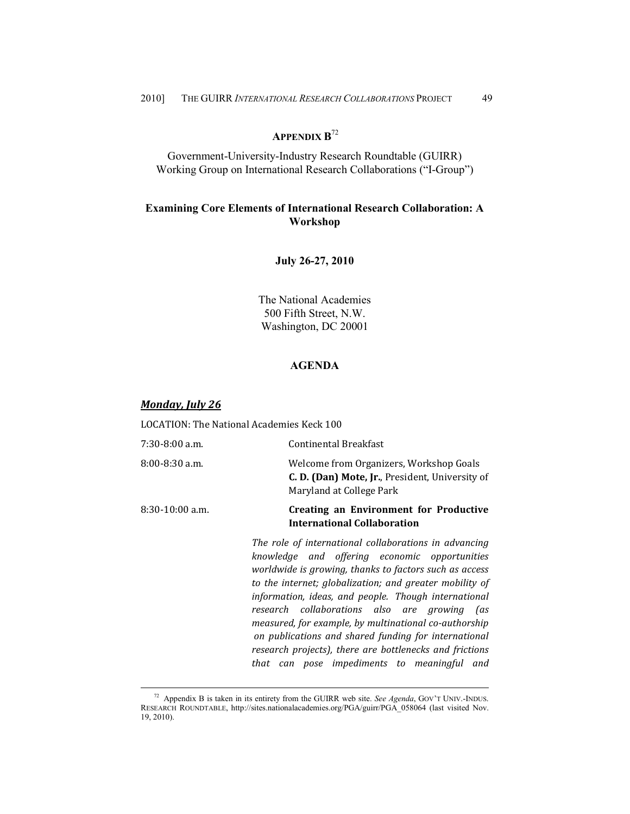# **APPENDIX B**<sup>72</sup>

Government-University-Industry Research Roundtable (GUIRR) Working Group on International Research Collaborations ("I-Group")

# **Examining Core Elements of International Research Collaboration: A Workshop**

# **July 26-27, 2010**

The National Academies 500 Fifth Street, N.W. Washington, DC 20001

# **AGENDA**

#### *Monday, July 26*

LOCATION: The National Academies Keck 100

| $7:30-8:00$ a.m.   | Continental Breakfast                                                                                                                                                                                                                                                                                                                                                                                                                                                                                           |
|--------------------|-----------------------------------------------------------------------------------------------------------------------------------------------------------------------------------------------------------------------------------------------------------------------------------------------------------------------------------------------------------------------------------------------------------------------------------------------------------------------------------------------------------------|
| $8:00 - 8:30$ a.m. | Welcome from Organizers, Workshop Goals<br>C.D. (Dan) Mote, Jr., President, University of<br>Maryland at College Park                                                                                                                                                                                                                                                                                                                                                                                           |
| $8:30-10:00$ a.m.  | Creating an Environment for Productive<br><b>International Collaboration</b>                                                                                                                                                                                                                                                                                                                                                                                                                                    |
|                    | The role of international collaborations in advancing<br>knowledge and offering economic opportunities<br>worldwide is growing, thanks to factors such as access<br>to the internet; globalization; and greater mobility of<br>information, ideas, and people. Though international<br>research collaborations also are growing (as<br>measured, for example, by multinational co-authorship<br>on publications and shared funding for international<br>research projects), there are bottlenecks and frictions |

 <sup>72</sup> Appendix B is taken in its entirety from the GUIRR web site. *See Agenda*, GOV'T UNIV.-INDUS. RESEARCH ROUNDTABLE, http://sites.nationalacademies.org/PGA/guirr/PGA\_058064 (last visited Nov. 19, 2010).

 *that can pose impediments to meaningful and*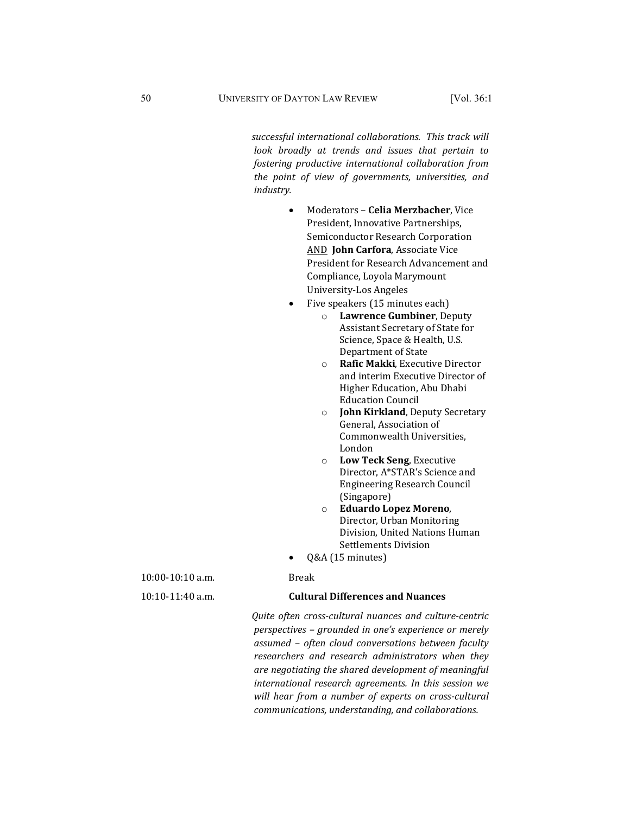*successful international collaborations. This track will look broadly at trends and issues that pertain to fostering productive international collaboration from the point of view of governments, universities, and industry.* 

- Moderators **Celia Merzbacher**, Vice President, Innovative Partnerships, Semiconductor Research Corporation AND **John Carfora**, Associate Vice President for Research Advancement and Compliance, Loyola Marymount University-Los Angeles
	- Five speakers (15 minutes each)
		- o **Lawrence Gumbiner**, Deputy Assistant Secretary of State for Science, Space & Health, U.S. Department of State
		- o **Rafic Makki**, Executive Director and interim Executive Director of Higher Education, Abu Dhabi Education Council
		- o **John Kirkland**, Deputy Secretary General, Association of Commonwealth Universities, London
		- o **Low Teck Seng**, Executive Director, A\*STAR's Science and Engineering Research Council (Singapore)
		- o **Eduardo Lopez Moreno**, Director, Urban Monitoring Division, United Nations Human Settlements Division
- Q&A (15 minutes)

#### 10:00-10:10 a.m. Break

#### 10:10-11:40 a.m. **Cultural Differences and Nuances**

 *Quite often cross-cultural nuances and culture-centric perspectives – grounded in one's experience or merely assumed – often cloud conversations between faculty researchers and research administrators when they are negotiating the shared development of meaningful international research agreements. In this session we will hear from a number of experts on cross-cultural communications, understanding, and collaborations.*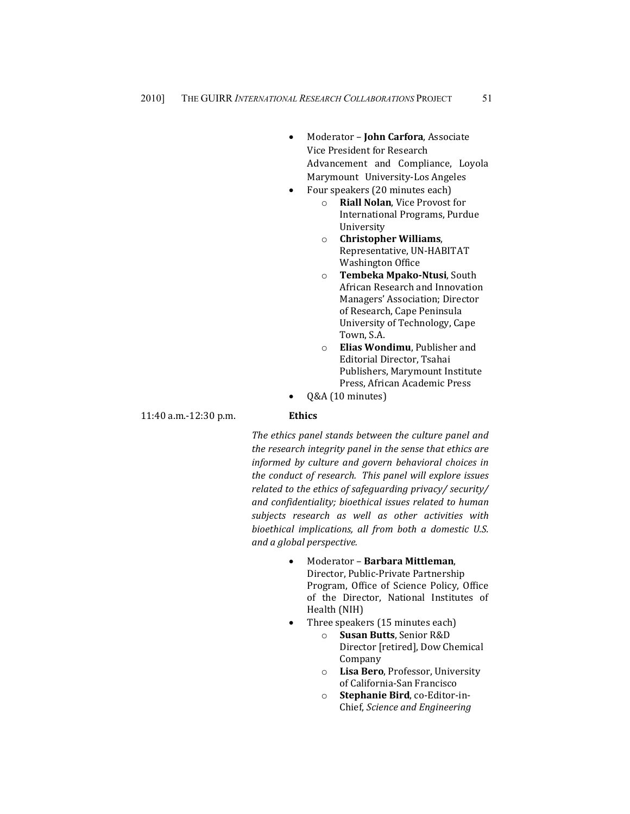- Moderator **John Carfora**, Associate Vice President for Research Advancement and Compliance, Loyola Marymount University-Los Angeles
- Four speakers (20 minutes each)
	- o **Riall Nolan**, Vice Provost for International Programs, Purdue University
	- o **Christopher Williams**, Representative, UN-HABITAT Washington Office
	- o **Tembeka Mpako-Ntusi**, South African Research and Innovation Managers' Association; Director of Research, Cape Peninsula University of Technology, Cape Town, S.A.
	- o **Elias Wondimu**, Publisher and Editorial Director, Tsahai Publishers, Marymount Institute Press, African Academic Press
- Q&A (10 minutes)

11:40 a.m.-12:30 p.m. **Ethics** 

 *The ethics panel stands between the culture panel and the research integrity panel in the sense that ethics are informed by culture and govern behavioral choices in the conduct of research. This panel will explore issues related to the ethics of safeguarding privacy/ security/ and confidentiality; bioethical issues related to human subjects research as well as other activities with bioethical implications, all from both a domestic U.S. and a global perspective.* 

- Moderator **Barbara Mittleman**, Director, Public-Private Partnership Program, Office of Science Policy, Office of the Director, National Institutes of Health (NIH)
- Three speakers (15 minutes each)
	- o **Susan Butts**, Senior R&D Director [retired], Dow Chemical Company
	- o **Lisa Bero**, Professor, University of California-San Francisco
	- o **Stephanie Bird**, co-Editor-in-Chief, *Science and Engineering*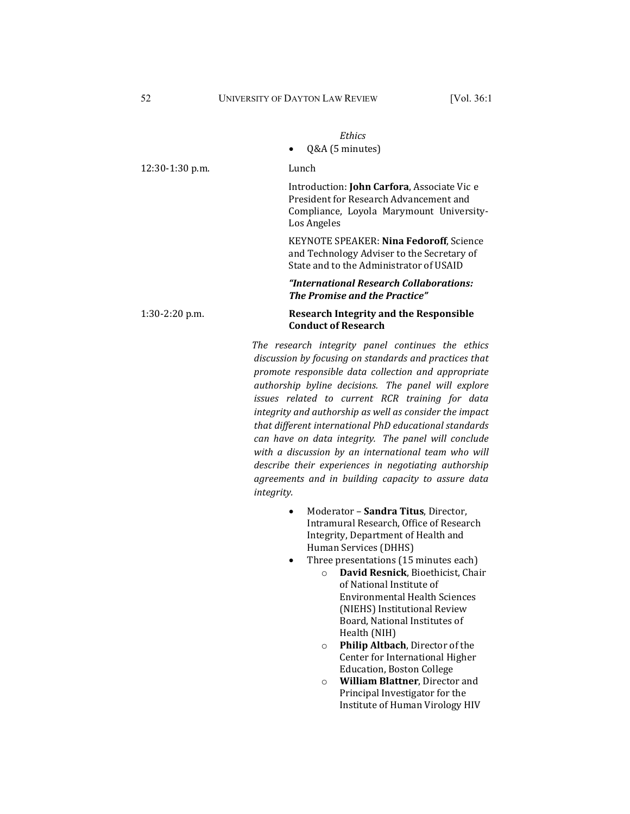# *Ethics*

• Q&A (5 minutes)

12:30-1:30 p.m. Lunch

 Introduction: **John Carfora**, Associate Vic e President for Research Advancement and Compliance, Loyola Marymount University- Los Angeles

 KEYNOTE SPEAKER: **Nina Fedoroff**, Science and Technology Adviser to the Secretary of State and to the Administrator of USAID

 *"International Research Collaborations: The Promise and the Practice"* 

#### 1:30-2:20 p.m. **Research Integrity and the Responsible Conduct of Research**

 *The research integrity panel continues the ethics discussion by focusing on standards and practices that promote responsible data collection and appropriate authorship byline decisions. The panel will explore issues related to current RCR training for data integrity and authorship as well as consider the impact that different international PhD educational standards can have on data integrity. The panel will conclude with a discussion by an international team who will describe their experiences in negotiating authorship agreements and in building capacity to assure data integrity.* 

- Moderator **Sandra Titus**, Director, Intramural Research, Office of Research Integrity, Department of Health and Human Services (DHHS)
- Three presentations (15 minutes each)
	- o **David Resnick**, Bioethicist, Chair of National Institute of Environmental Health Sciences (NIEHS) Institutional Review Board, National Institutes of Health (NIH)
	- o **Philip Altbach**, Director of the Center for International Higher Education, Boston College
	- o **William Blattner**, Director and Principal Investigator for the Institute of Human Virology HIV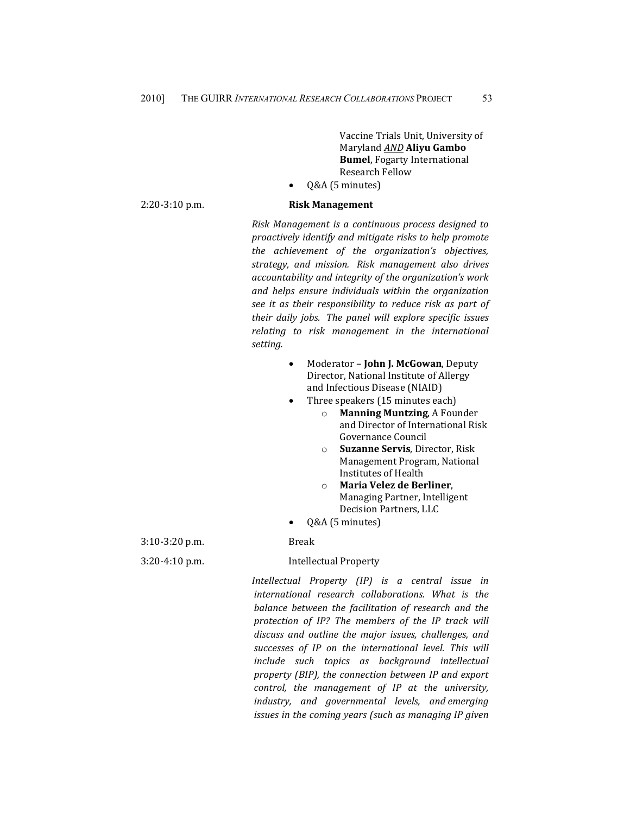Vaccine Trials Unit, University of Maryland *AND* **Aliyu Gambo Bumel**, Fogarty International Research Fellow

• Q&A (5 minutes)

#### 2:20-3:10 p.m. **Risk Management**

 *Risk Management is a continuous process designed to proactively identify and mitigate risks to help promote the achievement of the organization's objectives, strategy, and mission. Risk management also drives accountability and integrity of the organization's work and helps ensure individuals within the organization see it as their responsibility to reduce risk as part of their daily jobs. The panel will explore specific issues relating to risk management in the international setting.*

- Moderator **John J. McGowan**, Deputy Director, National Institute of Allergy and Infectious Disease (NIAID)
- Three speakers (15 minutes each)
	- o **Manning Muntzing**, A Founder and Director of International Risk Governance Council
	- o **Suzanne Servis**, Director, Risk Management Program, National Institutes of Health
	- o **Maria Velez de Berliner**, Managing Partner, Intelligent Decision Partners, LLC
- Q&A (5 minutes)

3:10-3:20 p.m. Break

#### 3:20-4:10 p.m. Intellectual Property

 *Intellectual Property (IP) is a central issue in international research collaborations. What is the balance between the facilitation of research and the protection of IP? The members of the IP track will discuss and outline the major issues, challenges, and successes of IP on the international level. This will include such topics as background intellectual property (BIP), the connection between IP and export control, the management of IP at the university, industry, and governmental levels, and emerging issues in the coming years (such as managing IP given*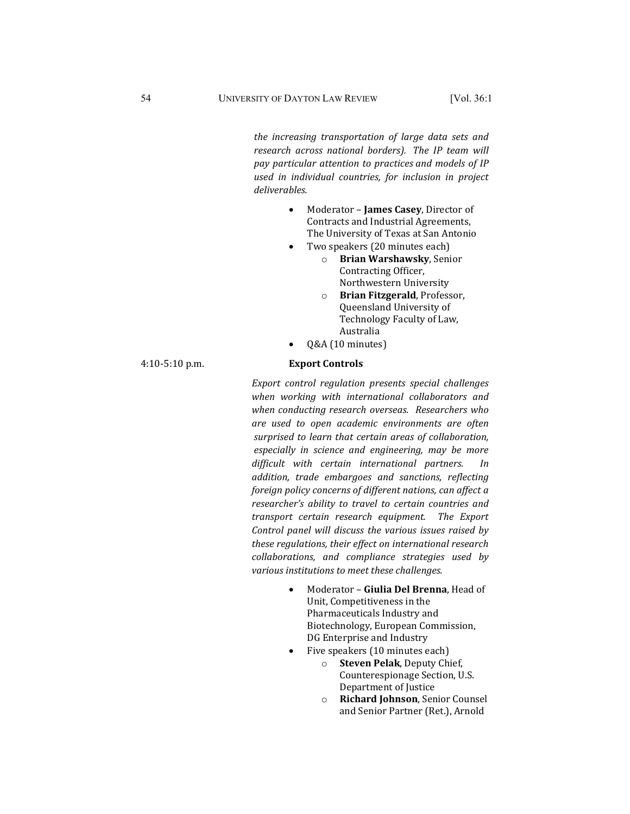*the increasing transportation of large data sets and research across national borders). The IP team will pay particular attention to practices and models of IP used in individual countries, for inclusion in project deliverables.* 

- Moderator **James Casey**, Director of Contracts and Industrial Agreements, The University of Texas at San Antonio
- Two speakers (20 minutes each)
	- o **Brian Warshawsky**, Senior Contracting Officer, Northwestern University
	- o **Brian Fitzgerald**, Professor, Queensland University of Technology Faculty of Law, Australia
- Q&A (10 minutes)

#### 4:10-5:10 p.m. **Export Controls**

 *Export control regulation presents special challenges when working with international collaborators and when conducting research overseas. Researchers who are used to open academic environments are often surprised to learn that certain areas of collaboration, especially in science and engineering, may be more difficult with certain international partners. In addition, trade embargoes and sanctions, reflecting foreign policy concerns of different nations, can affect a researcher's ability to travel to certain countries and transport certain research equipment. The Export Control panel will discuss the various issues raised by these regulations, their effect on international research collaborations, and compliance strategies used by various institutions to meet these challenges.* 

- Moderator **Giulia Del Brenna**, Head of Unit, Competitiveness in the Pharmaceuticals Industry and Biotechnology, European Commission, DG Enterprise and Industry
- Five speakers (10 minutes each)
	- o **Steven Pelak**, Deputy Chief, Counterespionage Section, U.S. Department of Justice
	- o **Richard Johnson**, Senior Counsel and Senior Partner (Ret.), Arnold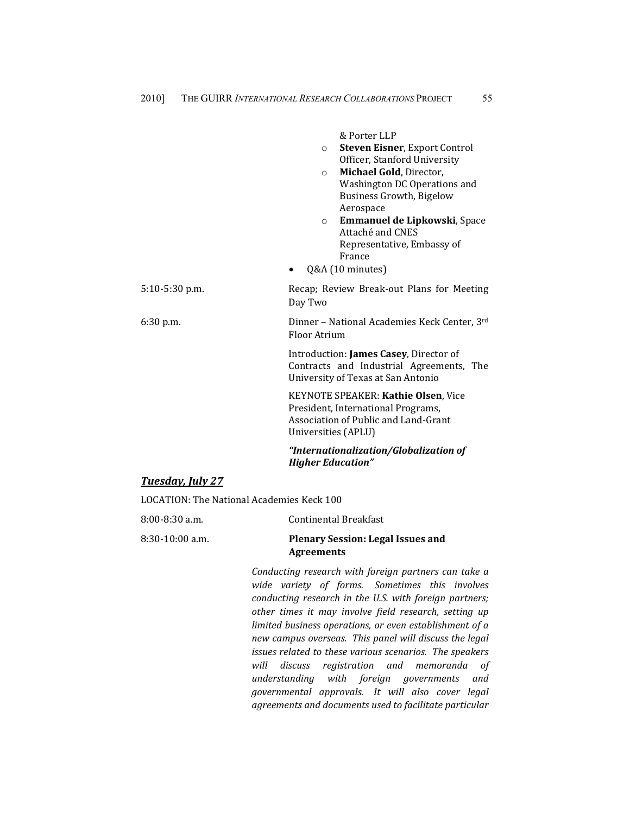|                | & Porter LLP                                                                                                                                    |
|----------------|-------------------------------------------------------------------------------------------------------------------------------------------------|
|                | <b>Steven Eisner, Export Control</b><br>$\circ$                                                                                                 |
|                | Officer, Stanford University                                                                                                                    |
|                | Michael Gold, Director,<br>$\circ$                                                                                                              |
|                | Washington DC Operations and                                                                                                                    |
|                | <b>Business Growth, Bigelow</b><br>Aerospace                                                                                                    |
|                | Emmanuel de Lipkowski, Space<br>$\circ$                                                                                                         |
|                | Attaché and CNES                                                                                                                                |
|                | Representative, Embassy of<br>France                                                                                                            |
|                | Q&A (10 minutes)<br>$\bullet$                                                                                                                   |
| 5:10-5:30 p.m. | Recap; Review Break-out Plans for Meeting<br>Day Two                                                                                            |
| 6:30 p.m.      | Dinner - National Academies Keck Center, 3rd<br>Floor Atrium                                                                                    |
|                | Introduction: James Casey, Director of<br>Contracts and Industrial Agreements, The<br>University of Texas at San Antonio                        |
|                | <b>KEYNOTE SPEAKER: Kathie Olsen, Vice</b><br>President, International Programs,<br>Association of Public and Land-Grant<br>Universities (APLU) |
|                | "Internationalization/Globalization of<br><b>Hiaher Education"</b>                                                                              |

# *Tuesday, July 27*

LOCATION: The National Academies Keck 100

| $8:00 - 8:30$ a.m. | Continental Breakfast                    |
|--------------------|------------------------------------------|
| $8:30-10:00$ a.m.  | <b>Plenary Session: Legal Issues and</b> |
|                    | <b>Agreements</b>                        |

 *Conducting research with foreign partners can take a wide variety of forms. Sometimes this involves conducting research in the U.S. with foreign partners; other times it may involve field research, setting up limited business operations, or even establishment of a new campus overseas. This panel will discuss the legal issues related to these various scenarios. The speakers will discuss registration and memoranda of understanding with foreign governments and governmental approvals. It will also cover legal agreements and documents used to facilitate particular*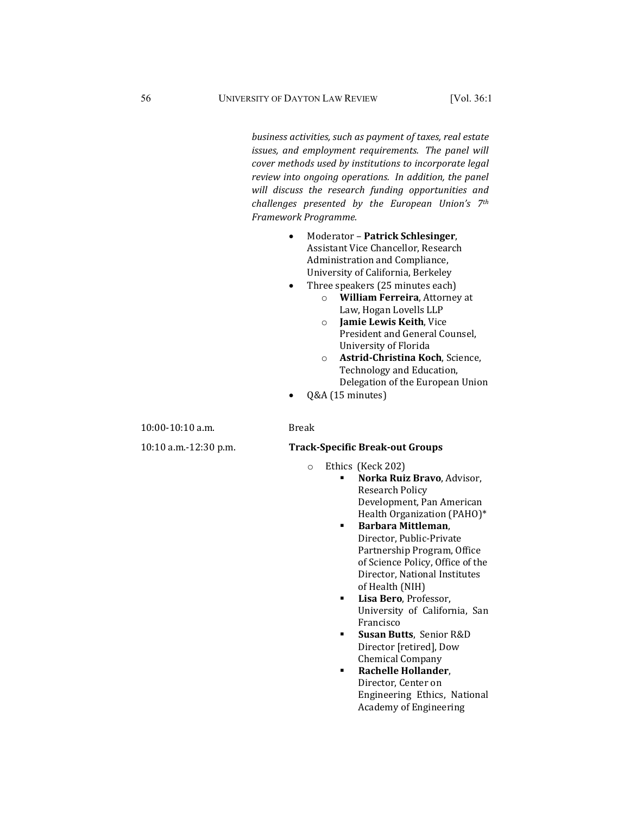*business activities, such as payment of taxes, real estate issues, and employment requirements. The panel will cover methods used by institutions to incorporate legal review into ongoing operations. In addition, the panel will discuss the research funding opportunities and challenges presented by the European Union's 7th Framework Programme.*

- Moderator **Patrick Schlesinger**, Assistant Vice Chancellor, Research Administration and Compliance, University of California, Berkeley
- Three speakers (25 minutes each)
	- o **William Ferreira**, Attorney at Law, Hogan Lovells LLP
	- o **Jamie Lewis Keith**, Vice President and General Counsel, University of Florida
	- o **Astrid-Christina Koch**, Science, Technology and Education, Delegation of the European Union
- Q&A (15 minutes)

10:00-10:10 a.m. Break

#### 10:10 a.m.-12:30 p.m. **Track-Specific Break-out Groups**

- o Ethics (Keck 202)
	- **Norka Ruiz Bravo**, Advisor, Research Policy Development, Pan American Health Organization (PAHO)\*
	- **Barbara Mittleman**, Director, Public-Private Partnership Program, Office of Science Policy, Office of the Director, National Institutes of Health (NIH)
	- **Lisa Bero**, Professor, University of California, San Francisco
	- **Susan Butts**, Senior R&D Director [retired], Dow Chemical Company
	- **Rachelle Hollander**, Director, Center on Engineering Ethics, National Academy of Engineering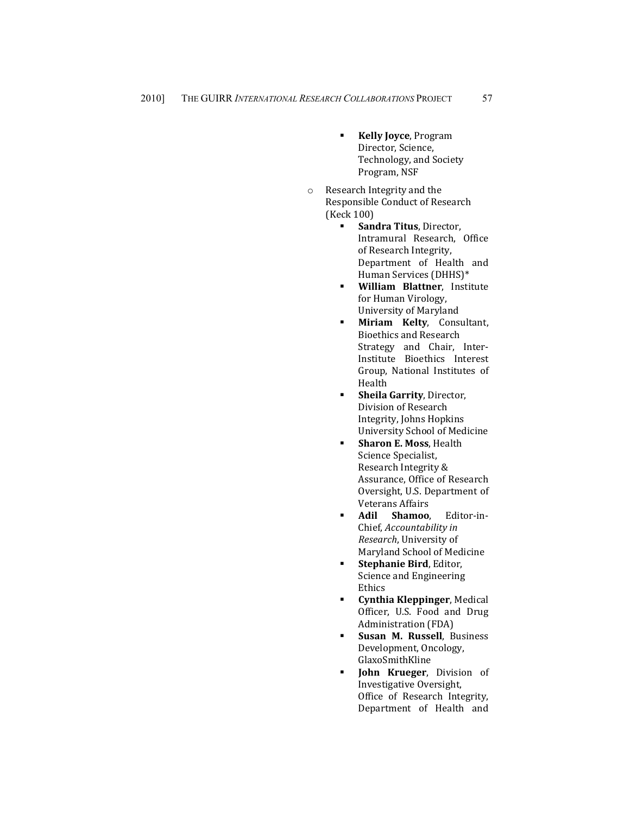- **Kelly Joyce**, Program Director, Science, Technology, and Society Program, NSF
- o Research Integrity and the Responsible Conduct of Research (Keck 100)
	- **Sandra Titus**, Director, Intramural Research, Office of Research Integrity, Department of Health and Human Services (DHHS)\*
	- **William Blattner**, Institute for Human Virology, University of Maryland
	- **Miriam Kelty**, Consultant, Bioethics and Research Strategy and Chair, Inter-Institute Bioethics Interest Group, National Institutes of Health
	- **Sheila Garrity**, Director, Division of Research Integrity, Johns Hopkins University School of Medicine
	- **Sharon E. Moss, Health** Science Specialist, Research Integrity & Assurance, Office of Research Oversight, U.S. Department of Veterans Affairs
	- **Adil Shamoo**, Editor-in-Chief, *Accountability in Research*, University of Maryland School of Medicine
	- **Fig. 3 Stephanie Bird, Editor,** Science and Engineering Ethics
	- **Cynthia Kleppinger**, Medical Officer, U.S. Food and Drug Administration (FDA)
	- **Susan M. Russell**, Business Development, Oncology, GlaxoSmithKline
	- **John Krueger**, Division of Investigative Oversight, Office of Research Integrity, Department of Health and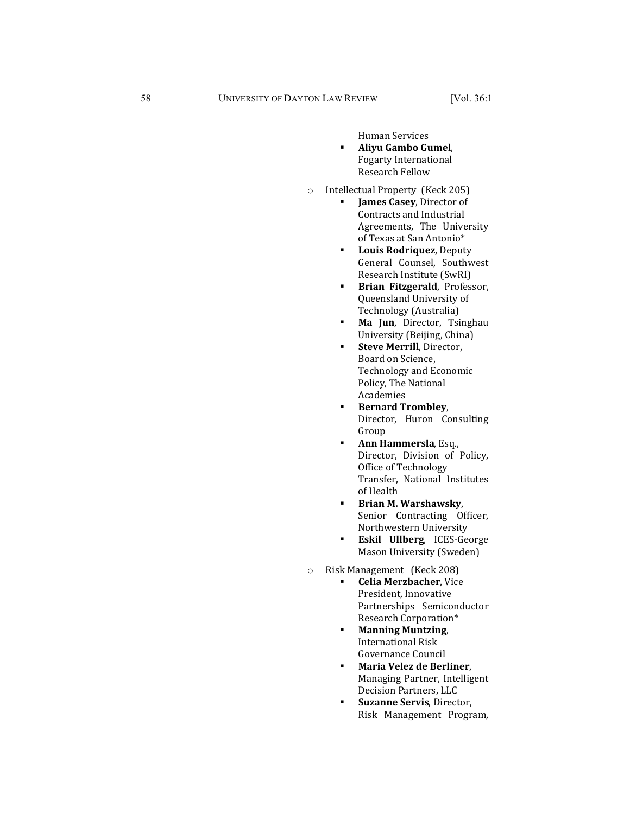Human Services

- **Aliyu Gambo Gumel**, Fogarty International Research Fellow
- o Intellectual Property (Keck 205)
	- **James Casey**, Director of Contracts and Industrial Agreements, The University of Texas at San Antonio\*
		- **Louis Rodriquez**, Deputy General Counsel, Southwest Research Institute (SwRI)
		- **Brian Fitzgerald**, Professor, Queensland University of Technology (Australia)
		- **Ma Jun**, Director, Tsinghau University (Beijing, China)
		- **Steve Merrill**, Director, Board on Science, Technology and Economic Policy, The National Academies
		- **Bernard Trombley,** Director, Huron Consulting Group
		- **Ann Hammersla**, Esq., Director, Division of Policy, Office of Technology Transfer, National Institutes of Health
		- **Brian M. Warshawsky**, Senior Contracting Officer, Northwestern University
		- **Eskil Ullberg**, ICES-George Mason University (Sweden)
- o Risk Management (Keck 208)<br>Celia Merzhacher Vice
	- **Celia Merzbacher**, Vice President, Innovative Partnerships Semiconductor Research Corporation\*
	- **Manning Muntzing**, International Risk Governance Council
	- **Maria Velez de Berliner**, Managing Partner, Intelligent Decision Partners, LLC
	- **Suzanne Servis**, Director, Risk Management Program,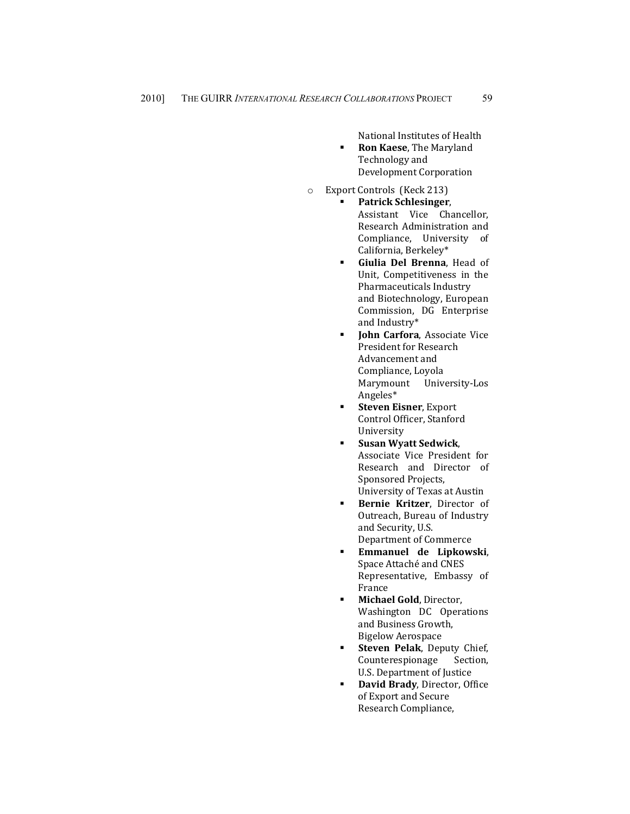- National Institutes of Health
- **Ron Kaese**, The Maryland Technology and Development Corporation
- o Export Controls (Keck 213)
	- **Patrick Schlesinger**, Assistant Vice Chancellor, Research Administration and Compliance, University of California, Berkeley\*
	- **Giulia Del Brenna**, Head of Unit, Competitiveness in the Pharmaceuticals Industry and Biotechnology, European Commission, DG Enterprise and Industry\*
	- **John Carfora**, Associate Vice President for Research Advancement and Compliance, Loyola Marymount University-Los Angeles\*
	- **Figurer**, Export Control Officer, Stanford University
	- **Susan Wyatt Sedwick,** Associate Vice President for Research and Director of Sponsored Projects, University of Texas at Austin
	- **Bernie Kritzer**, Director of Outreach, Bureau of Industry and Security, U.S. Department of Commerce
	- **Emmanuel de Lipkowski**, Space Attaché and CNES Representative, Embassy of France
	- **Michael Gold**, Director, Washington DC Operations and Business Growth, Bigelow Aerospace
	- **Steven Pelak**, Deputy Chief, Counterespionage Section, U.S. Department of Justice
	- **Pavid Brady**, Director, Office of Export and Secure Research Compliance,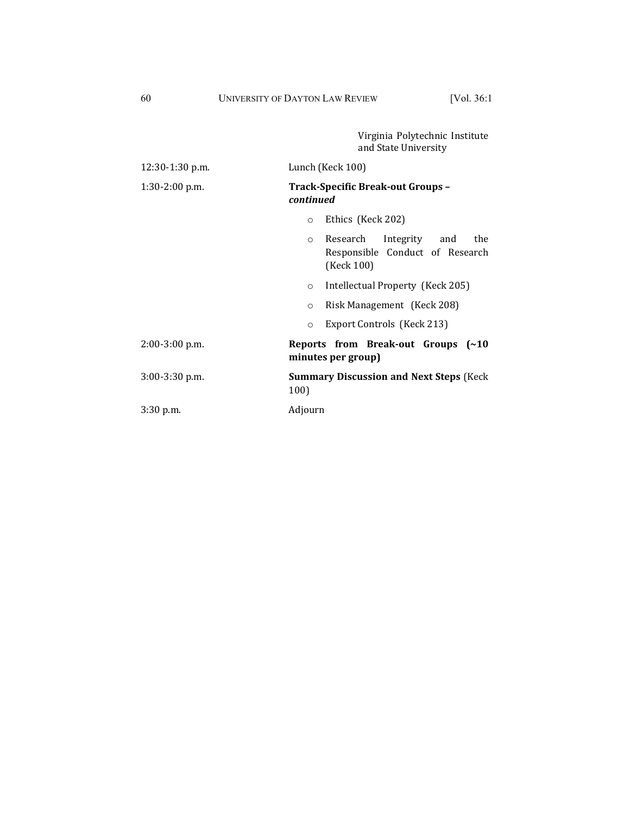Virginia Polytechnic Institute and State University

12:30-1:30 p.m. Lunch (Keck 100)

# 1:30-2:00 p.m. **Track-Specific Break-out Groups –** *continued*

- o Ethics (Keck 202)
- o Research Integrity and the Responsible Conduct of Research (Keck 100)
- o Intellectual Property (Keck 205)
- o Risk Management (Keck 208)
- o Export Controls (Keck 213)

| $2:00-3:00$ p.m. | Reports from Break-out Groups (~10<br>minutes per group) |
|------------------|----------------------------------------------------------|
| $3:00-3:30$ p.m. | <b>Summary Discussion and Next Steps (Keck)</b><br>100)  |
| $3:30$ p.m.      | Adjourn                                                  |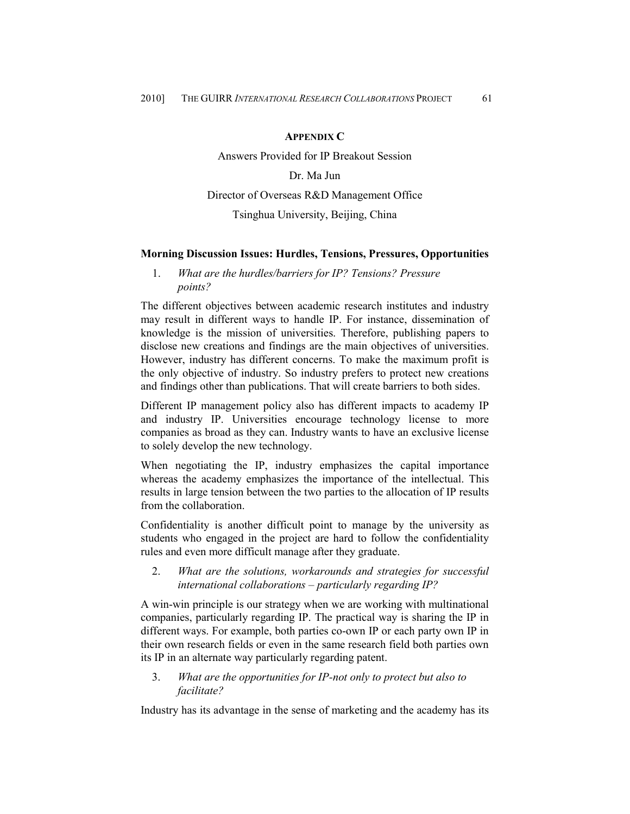# **APPENDIX C**

Answers Provided for IP Breakout Session

# Dr. Ma Jun

#### Director of Overseas R&D Management Office

# Tsinghua University, Beijing, China

# **Morning Discussion Issues: Hurdles, Tensions, Pressures, Opportunities**

# 1. *What are the hurdles/barriers for IP? Tensions? Pressure points?*

The different objectives between academic research institutes and industry may result in different ways to handle IP. For instance, dissemination of knowledge is the mission of universities. Therefore, publishing papers to disclose new creations and findings are the main objectives of universities. However, industry has different concerns. To make the maximum profit is the only objective of industry. So industry prefers to protect new creations and findings other than publications. That will create barriers to both sides.

Different IP management policy also has different impacts to academy IP and industry IP. Universities encourage technology license to more companies as broad as they can. Industry wants to have an exclusive license to solely develop the new technology.

When negotiating the IP, industry emphasizes the capital importance whereas the academy emphasizes the importance of the intellectual. This results in large tension between the two parties to the allocation of IP results from the collaboration.

Confidentiality is another difficult point to manage by the university as students who engaged in the project are hard to follow the confidentiality rules and even more difficult manage after they graduate.

2. *What are the solutions, workarounds and strategies for successful international collaborations – particularly regarding IP?* 

A win-win principle is our strategy when we are working with multinational companies, particularly regarding IP. The practical way is sharing the IP in different ways. For example, both parties co-own IP or each party own IP in their own research fields or even in the same research field both parties own its IP in an alternate way particularly regarding patent.

3. *What are the opportunities for IP-not only to protect but also to facilitate?* 

Industry has its advantage in the sense of marketing and the academy has its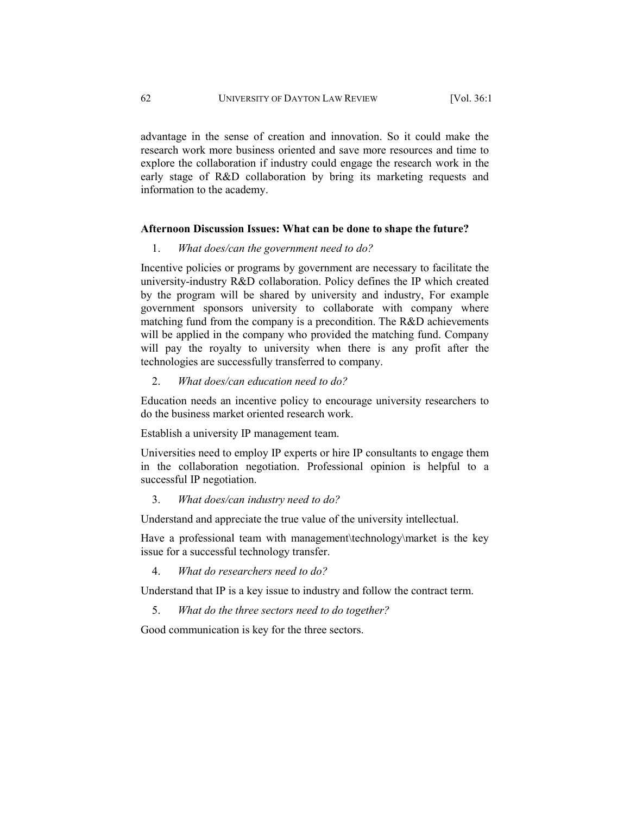advantage in the sense of creation and innovation. So it could make the research work more business oriented and save more resources and time to explore the collaboration if industry could engage the research work in the early stage of R&D collaboration by bring its marketing requests and information to the academy.

#### **Afternoon Discussion Issues: What can be done to shape the future?**

# 1. *What does/can the government need to do?*

Incentive policies or programs by government are necessary to facilitate the university-industry R&D collaboration. Policy defines the IP which created by the program will be shared by university and industry, For example government sponsors university to collaborate with company where matching fund from the company is a precondition. The R&D achievements will be applied in the company who provided the matching fund. Company will pay the royalty to university when there is any profit after the technologies are successfully transferred to company.

# 2. *What does/can education need to do?*

Education needs an incentive policy to encourage university researchers to do the business market oriented research work.

Establish a university IP management team.

Universities need to employ IP experts or hire IP consultants to engage them in the collaboration negotiation. Professional opinion is helpful to a successful IP negotiation.

#### 3. *What does/can industry need to do?*

Understand and appreciate the true value of the university intellectual.

Have a professional team with management technology market is the key issue for a successful technology transfer.

# 4. *What do researchers need to do?*

Understand that IP is a key issue to industry and follow the contract term.

# 5. *What do the three sectors need to do together?*

Good communication is key for the three sectors.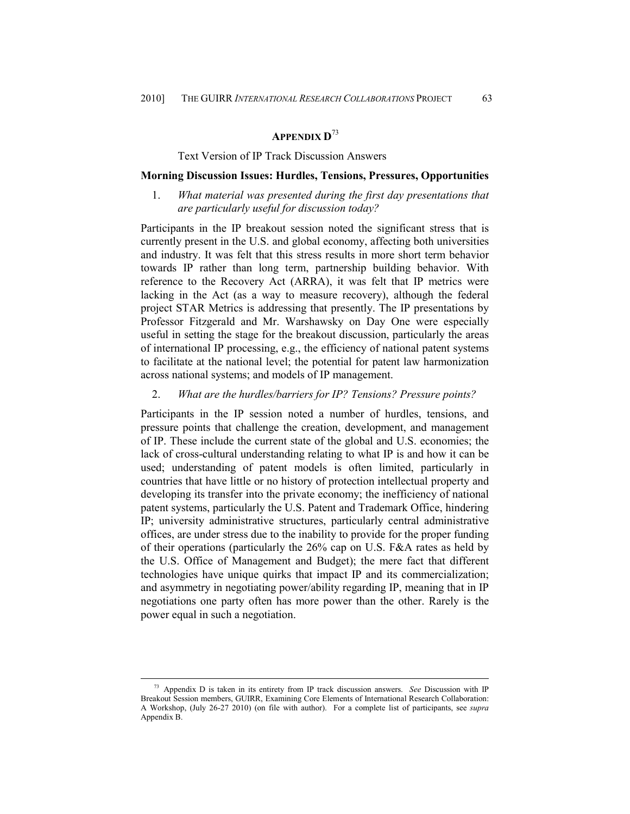# **APPENDIX D**<sup>73</sup>

#### Text Version of IP Track Discussion Answers

#### **Morning Discussion Issues: Hurdles, Tensions, Pressures, Opportunities**

1. *What material was presented during the first day presentations that are particularly useful for discussion today?* 

Participants in the IP breakout session noted the significant stress that is currently present in the U.S. and global economy, affecting both universities and industry. It was felt that this stress results in more short term behavior towards IP rather than long term, partnership building behavior. With reference to the Recovery Act (ARRA), it was felt that IP metrics were lacking in the Act (as a way to measure recovery), although the federal project STAR Metrics is addressing that presently. The IP presentations by Professor Fitzgerald and Mr. Warshawsky on Day One were especially useful in setting the stage for the breakout discussion, particularly the areas of international IP processing, e.g., the efficiency of national patent systems to facilitate at the national level; the potential for patent law harmonization across national systems; and models of IP management.

#### 2. *What are the hurdles/barriers for IP? Tensions? Pressure points?*

Participants in the IP session noted a number of hurdles, tensions, and pressure points that challenge the creation, development, and management of IP. These include the current state of the global and U.S. economies; the lack of cross-cultural understanding relating to what IP is and how it can be used; understanding of patent models is often limited, particularly in countries that have little or no history of protection intellectual property and developing its transfer into the private economy; the inefficiency of national patent systems, particularly the U.S. Patent and Trademark Office, hindering IP; university administrative structures, particularly central administrative offices, are under stress due to the inability to provide for the proper funding of their operations (particularly the 26% cap on U.S. F&A rates as held by the U.S. Office of Management and Budget); the mere fact that different technologies have unique quirks that impact IP and its commercialization; and asymmetry in negotiating power/ability regarding IP, meaning that in IP negotiations one party often has more power than the other. Rarely is the power equal in such a negotiation.

 <sup>73</sup> Appendix D is taken in its entirety from IP track discussion answers. *See* Discussion with IP Breakout Session members, GUIRR, Examining Core Elements of International Research Collaboration: A Workshop, (July 26-27 2010) (on file with author). For a complete list of participants, see *supra*  Appendix B.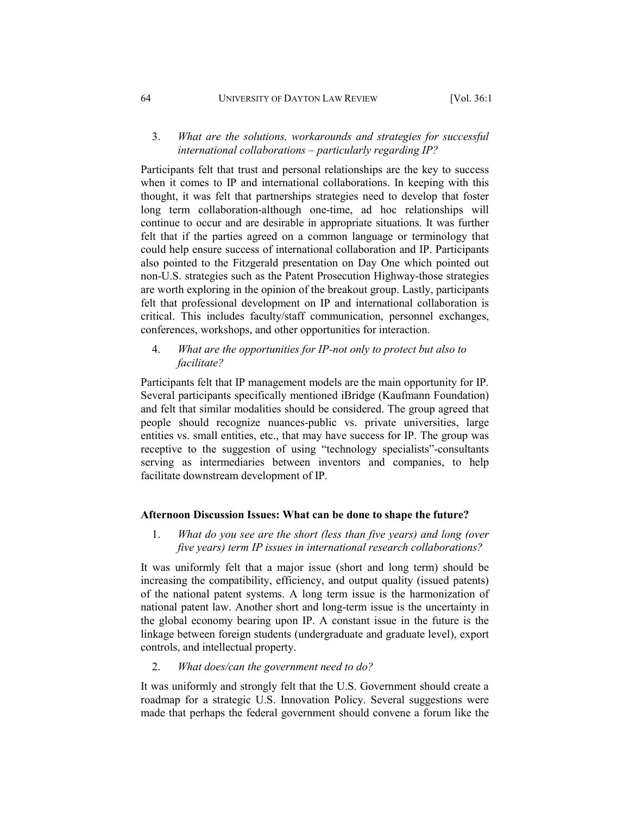# 3. *What are the solutions, workarounds and strategies for successful international collaborations – particularly regarding IP?*

Participants felt that trust and personal relationships are the key to success when it comes to IP and international collaborations. In keeping with this thought, it was felt that partnerships strategies need to develop that foster long term collaboration-although one-time, ad hoc relationships will continue to occur and are desirable in appropriate situations. It was further felt that if the parties agreed on a common language or terminology that could help ensure success of international collaboration and IP. Participants also pointed to the Fitzgerald presentation on Day One which pointed out non-U.S. strategies such as the Patent Prosecution Highway-those strategies are worth exploring in the opinion of the breakout group. Lastly, participants felt that professional development on IP and international collaboration is critical. This includes faculty/staff communication, personnel exchanges, conferences, workshops, and other opportunities for interaction.

# 4. *What are the opportunities for IP-not only to protect but also to facilitate?*

Participants felt that IP management models are the main opportunity for IP. Several participants specifically mentioned iBridge (Kaufmann Foundation) and felt that similar modalities should be considered. The group agreed that people should recognize nuances-public vs. private universities, large entities vs. small entities, etc., that may have success for IP. The group was receptive to the suggestion of using "technology specialists"-consultants serving as intermediaries between inventors and companies, to help facilitate downstream development of IP.

#### **Afternoon Discussion Issues: What can be done to shape the future?**

# 1. *What do you see are the short (less than five years) and long (over five years) term IP issues in international research collaborations?*

It was uniformly felt that a major issue (short and long term) should be increasing the compatibility, efficiency, and output quality (issued patents) of the national patent systems. A long term issue is the harmonization of national patent law. Another short and long-term issue is the uncertainty in the global economy bearing upon IP. A constant issue in the future is the linkage between foreign students (undergraduate and graduate level), export controls, and intellectual property.

# 2. *What does/can the government need to do?*

It was uniformly and strongly felt that the U.S. Government should create a roadmap for a strategic U.S. Innovation Policy. Several suggestions were made that perhaps the federal government should convene a forum like the